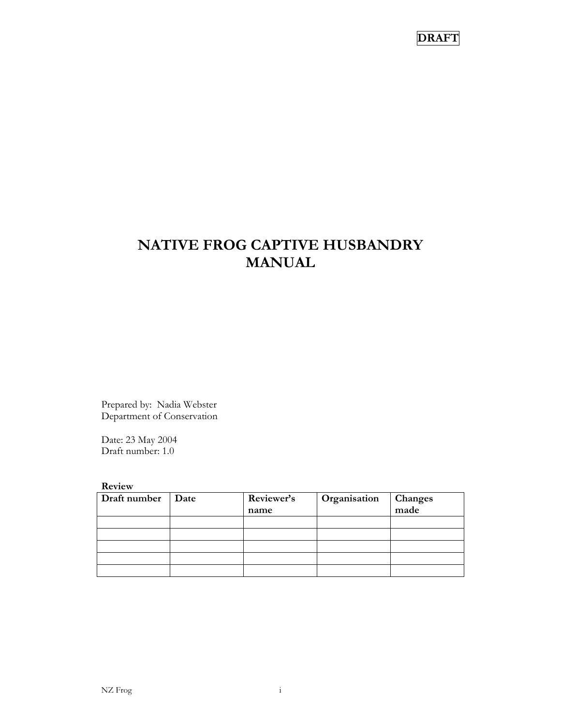# **NATIVE FROG CAPTIVE HUSBANDRY MANUAL**

Prepared by: Nadia Webster Department of Conservation

Date: 23 May 2004 Draft number: 1.0

**Review** 

| Draft number | Date | Reviewer's | Organisation | Changes<br>made |  |
|--------------|------|------------|--------------|-----------------|--|
|              |      | name       |              |                 |  |
|              |      |            |              |                 |  |
|              |      |            |              |                 |  |
|              |      |            |              |                 |  |
|              |      |            |              |                 |  |
|              |      |            |              |                 |  |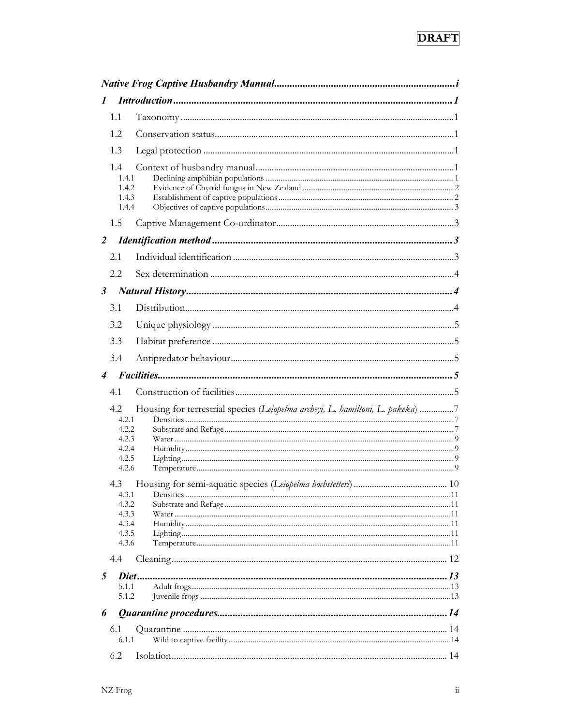| 1                         |                                         | Introduction 1                                                                 |  |
|---------------------------|-----------------------------------------|--------------------------------------------------------------------------------|--|
|                           | 1.1                                     |                                                                                |  |
|                           | 1.2.                                    |                                                                                |  |
|                           | 1.3                                     |                                                                                |  |
|                           | 1.4<br>1.4.1<br>1.4.2<br>1.4.3<br>1.4.4 |                                                                                |  |
|                           | 1.5                                     |                                                                                |  |
| 2                         |                                         |                                                                                |  |
|                           | 2.1                                     |                                                                                |  |
|                           | 2.2                                     |                                                                                |  |
| $\mathfrak{z}$            |                                         |                                                                                |  |
|                           | 3.1                                     |                                                                                |  |
|                           | 3.2                                     |                                                                                |  |
|                           | 3.3                                     |                                                                                |  |
|                           | 3.4                                     |                                                                                |  |
| $\boldsymbol{\varLambda}$ |                                         |                                                                                |  |
|                           | 4.1                                     |                                                                                |  |
|                           |                                         |                                                                                |  |
|                           | 4.2<br>4.2.1                            | Housing for terrestrial species (Leiopelma archeyi, L. hamiltoni, L. pakeka) 7 |  |
|                           | 4.2.2                                   |                                                                                |  |
|                           |                                         |                                                                                |  |
|                           | 4.2.3<br>4.2.4                          |                                                                                |  |
|                           | 4.2.5                                   |                                                                                |  |
|                           | 4.2.6                                   |                                                                                |  |
|                           | 4.3                                     |                                                                                |  |
|                           | 4.3.1                                   |                                                                                |  |
|                           | 4.3.2                                   |                                                                                |  |
|                           | 4.3.3<br>4.3.4                          |                                                                                |  |
|                           | 4.3.5                                   |                                                                                |  |
|                           | 4.3.6                                   |                                                                                |  |
|                           | 4.4                                     |                                                                                |  |
| 5                         |                                         |                                                                                |  |
|                           | 5.1.1                                   |                                                                                |  |
|                           | 5.1.2                                   |                                                                                |  |
| 6                         |                                         |                                                                                |  |
|                           | 6.1                                     |                                                                                |  |
|                           | 6.1.1<br>6.2                            |                                                                                |  |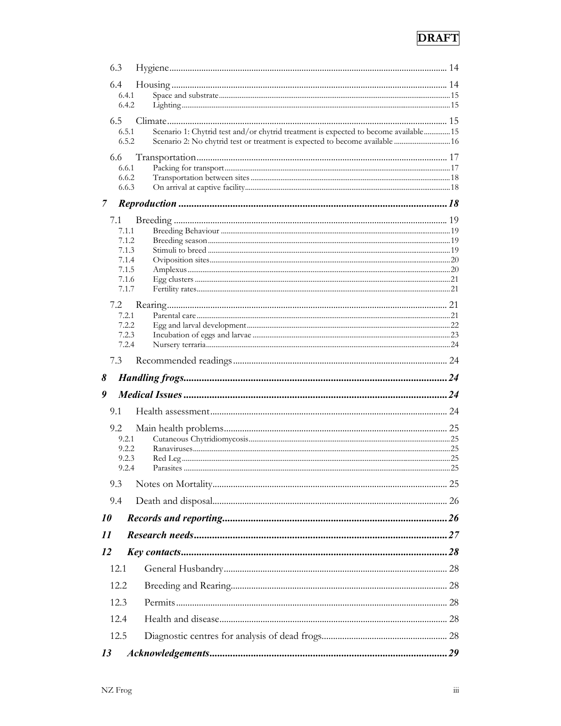| 6.3  |                |                                                                                      |  |
|------|----------------|--------------------------------------------------------------------------------------|--|
| 6.4  |                |                                                                                      |  |
|      | 6.4.1          |                                                                                      |  |
|      | 6.4.2          |                                                                                      |  |
|      | 6.5            | Scenario 1: Chytrid test and/or chytrid treatment is expected to become available 15 |  |
|      | 6.5.1<br>6.5.2 | Scenario 2: No chytrid test or treatment is expected to become available  16         |  |
| 6.6  |                |                                                                                      |  |
|      | 6.6.1          |                                                                                      |  |
|      | 6.6.2          |                                                                                      |  |
|      | 6.6.3          |                                                                                      |  |
| 7    |                |                                                                                      |  |
| 7.1  |                |                                                                                      |  |
|      | 7.1.1          |                                                                                      |  |
|      | 7.1.2<br>7.1.3 |                                                                                      |  |
|      | 7.1.4          |                                                                                      |  |
|      | 7.1.5          |                                                                                      |  |
|      | 7.1.6<br>7.1.7 |                                                                                      |  |
|      |                |                                                                                      |  |
| 7.2  | 7.2.1          |                                                                                      |  |
|      | 7.2.2          |                                                                                      |  |
|      | 7.2.3          |                                                                                      |  |
|      | 7.2.4          |                                                                                      |  |
| 7.3  |                |                                                                                      |  |
| 8    |                |                                                                                      |  |
| 9    |                |                                                                                      |  |
| 9.1  |                |                                                                                      |  |
| 9.2  |                |                                                                                      |  |
|      | 9.2.1          |                                                                                      |  |
|      | 9.2.2          |                                                                                      |  |
|      | 9.2.3<br>9.2.4 |                                                                                      |  |
| 9.3  |                |                                                                                      |  |
| 9.4  |                |                                                                                      |  |
| 10   |                |                                                                                      |  |
|      |                |                                                                                      |  |
| 11   |                |                                                                                      |  |
| 12   |                |                                                                                      |  |
| 12.1 |                |                                                                                      |  |
|      | 12.2           |                                                                                      |  |
|      | 12.3           |                                                                                      |  |
|      | 12.4           |                                                                                      |  |
|      | 12.5           |                                                                                      |  |
| 13   |                |                                                                                      |  |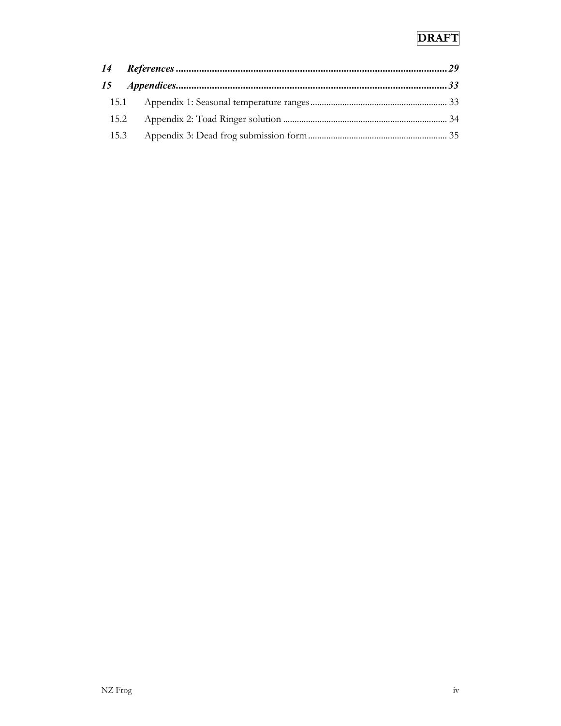| 15.1 |  |
|------|--|
| 15.2 |  |
| 15.3 |  |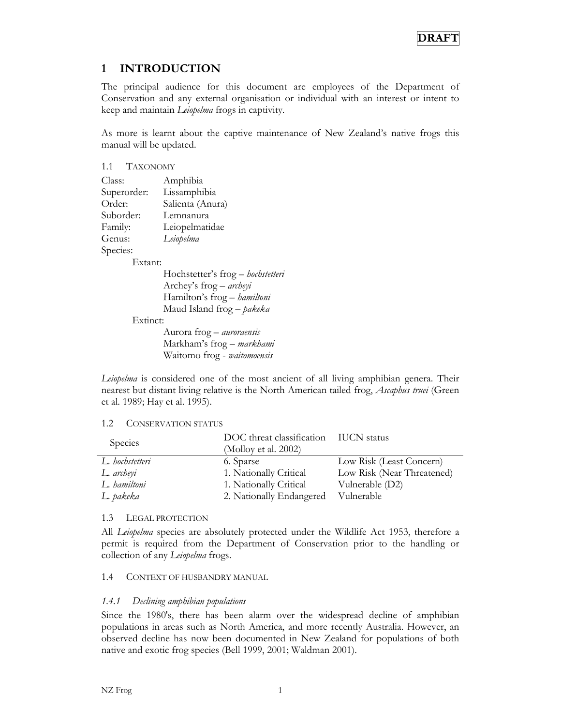## **1 INTRODUCTION**

The principal audience for this document are employees of the Department of Conservation and any external organisation or individual with an interest or intent to keep and maintain *Leiopelma* frogs in captivity.

As more is learnt about the captive maintenance of New Zealand's native frogs this manual will be updated.

| 1.1 TAXONOMY |                                   |
|--------------|-----------------------------------|
| Class:       | Amphibia                          |
| Superorder:  | Lissamphibia                      |
| Order:       | Salienta (Anura)                  |
| Suborder:    | Lemnanura                         |
| Family:      | Leiopelmatidae                    |
| Genus:       | Leiopelma                         |
| Species:     |                                   |
| Extant:      |                                   |
|              | Hochstetter's frog - hochstetteri |
|              | Archey's frog – archeyi           |
|              | Hamilton's frog - hamiltoni       |
|              | Maud Island frog - pakeka         |
| Extinct:     |                                   |
|              | Aurora frog - auroraensis         |
|              | Markham's frog – markhami         |
|              | Waitomo frog - waitomoensis       |

*Leiopelma* is considered one of the most ancient of all living amphibian genera. Their nearest but distant living relative is the North American tailed frog, *Ascaphus truei* (Green et al. 1989; Hay et al. 1995).

#### 1.2 CONSERVATION STATUS

| Species         | DOC threat classification IUCN status<br>(Molloy et al. 2002) |                            |
|-----------------|---------------------------------------------------------------|----------------------------|
| L. hochstetteri | 6. Sparse                                                     | Low Risk (Least Concern)   |
| L. archeyi      | 1. Nationally Critical                                        | Low Risk (Near Threatened) |
| L. hamiltoni    | 1. Nationally Critical                                        | Vulnerable (D2)            |
| L. pakeka       | 2. Nationally Endangered                                      | Vulnerable                 |

#### 1.3 LEGAL PROTECTION

All *Leiopelma* species are absolutely protected under the Wildlife Act 1953, therefore a permit is required from the Department of Conservation prior to the handling or collection of any *Leiopelma* frogs.

#### 1.4 CONTEXT OF HUSBANDRY MANUAL

#### *1.4.1 Declining amphibian populations*

Since the 1980's, there has been alarm over the widespread decline of amphibian populations in areas such as North America, and more recently Australia. However, an observed decline has now been documented in New Zealand for populations of both native and exotic frog species (Bell 1999, 2001; Waldman 2001).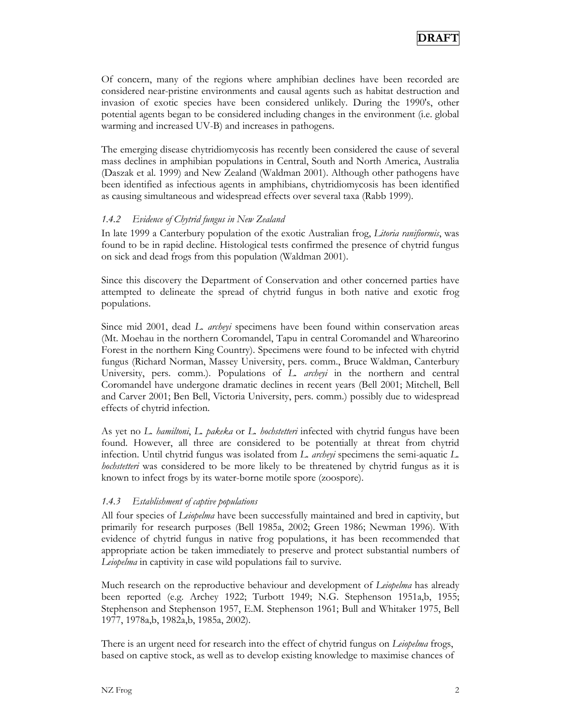Of concern, many of the regions where amphibian declines have been recorded are considered near-pristine environments and causal agents such as habitat destruction and invasion of exotic species have been considered unlikely. During the 1990's, other potential agents began to be considered including changes in the environment (i.e. global warming and increased UV-B) and increases in pathogens.

The emerging disease chytridiomycosis has recently been considered the cause of several mass declines in amphibian populations in Central, South and North America, Australia (Daszak et al. 1999) and New Zealand (Waldman 2001). Although other pathogens have been identified as infectious agents in amphibians, chytridiomycosis has been identified as causing simultaneous and widespread effects over several taxa (Rabb 1999).

#### *1.4.2 Evidence of Chytrid fungus in New Zealand*

In late 1999 a Canterbury population of the exotic Australian frog, *Litoria ranifiormis*, was found to be in rapid decline. Histological tests confirmed the presence of chytrid fungus on sick and dead frogs from this population (Waldman 2001).

Since this discovery the Department of Conservation and other concerned parties have attempted to delineate the spread of chytrid fungus in both native and exotic frog populations.

Since mid 2001, dead *L. archeyi* specimens have been found within conservation areas (Mt. Moehau in the northern Coromandel, Tapu in central Coromandel and Whareorino Forest in the northern King Country). Specimens were found to be infected with chytrid fungus (Richard Norman, Massey University, pers. comm., Bruce Waldman, Canterbury University, pers. comm.). Populations of *L. archeyi* in the northern and central Coromandel have undergone dramatic declines in recent years (Bell 2001; Mitchell, Bell and Carver 2001; Ben Bell, Victoria University, pers. comm.) possibly due to widespread effects of chytrid infection.

As yet no *L. hamiltoni*, *L. pakeka* or *L. hochstetteri* infected with chytrid fungus have been found. However, all three are considered to be potentially at threat from chytrid infection. Until chytrid fungus was isolated from *L. archeyi* specimens the semi-aquatic *L. hochstetteri* was considered to be more likely to be threatened by chytrid fungus as it is known to infect frogs by its water-borne motile spore (zoospore).

#### *1.4.3 Establishment of captive populations*

All four species of *Leiopelma* have been successfully maintained and bred in captivity, but primarily for research purposes (Bell 1985a, 2002; Green 1986; Newman 1996). With evidence of chytrid fungus in native frog populations, it has been recommended that appropriate action be taken immediately to preserve and protect substantial numbers of *Leiopelma* in captivity in case wild populations fail to survive.

Much research on the reproductive behaviour and development of *Leiopelma* has already been reported (e.g. Archey 1922; Turbott 1949; N.G. Stephenson 1951a,b, 1955; Stephenson and Stephenson 1957, E.M. Stephenson 1961; Bull and Whitaker 1975, Bell 1977, 1978a,b, 1982a,b, 1985a, 2002).

There is an urgent need for research into the effect of chytrid fungus on *Leiopelma* frogs, based on captive stock, as well as to develop existing knowledge to maximise chances of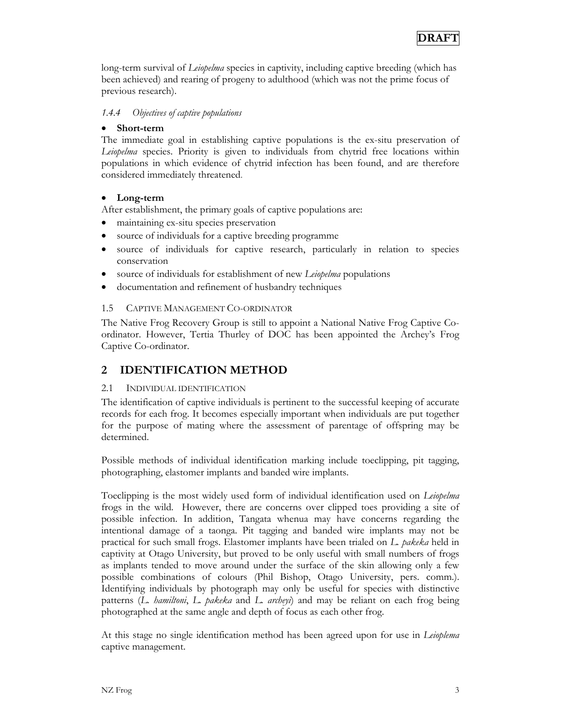long-term survival of *Leiopelma* species in captivity, including captive breeding (which has been achieved) and rearing of progeny to adulthood (which was not the prime focus of previous research).

#### *1.4.4 Objectives of captive populations*

#### • **Short-term**

The immediate goal in establishing captive populations is the ex-situ preservation of *Leiopelma* species. Priority is given to individuals from chytrid free locations within populations in which evidence of chytrid infection has been found, and are therefore considered immediately threatened.

#### • **Long-term**

After establishment, the primary goals of captive populations are:

- maintaining ex-situ species preservation
- source of individuals for a captive breeding programme
- source of individuals for captive research, particularly in relation to species conservation
- source of individuals for establishment of new *Leiopelma* populations
- documentation and refinement of husbandry techniques

#### 1.5 CAPTIVE MANAGEMENT CO-ORDINATOR

The Native Frog Recovery Group is still to appoint a National Native Frog Captive Coordinator. However, Tertia Thurley of DOC has been appointed the Archey's Frog Captive Co-ordinator.

### **2 IDENTIFICATION METHOD**

#### 2.1 INDIVIDUAL IDENTIFICATION

The identification of captive individuals is pertinent to the successful keeping of accurate records for each frog. It becomes especially important when individuals are put together for the purpose of mating where the assessment of parentage of offspring may be determined.

Possible methods of individual identification marking include toeclipping, pit tagging, photographing, elastomer implants and banded wire implants.

Toeclipping is the most widely used form of individual identification used on *Leiopelma* frogs in the wild. However, there are concerns over clipped toes providing a site of possible infection. In addition, Tangata whenua may have concerns regarding the intentional damage of a taonga. Pit tagging and banded wire implants may not be practical for such small frogs. Elastomer implants have been trialed on *L. pakeka* held in captivity at Otago University, but proved to be only useful with small numbers of frogs as implants tended to move around under the surface of the skin allowing only a few possible combinations of colours (Phil Bishop, Otago University, pers. comm.). Identifying individuals by photograph may only be useful for species with distinctive patterns (*L. hamiltoni*, *L. pakeka* and *L. archeyi*) and may be reliant on each frog being photographed at the same angle and depth of focus as each other frog.

At this stage no single identification method has been agreed upon for use in *Leioplema* captive management.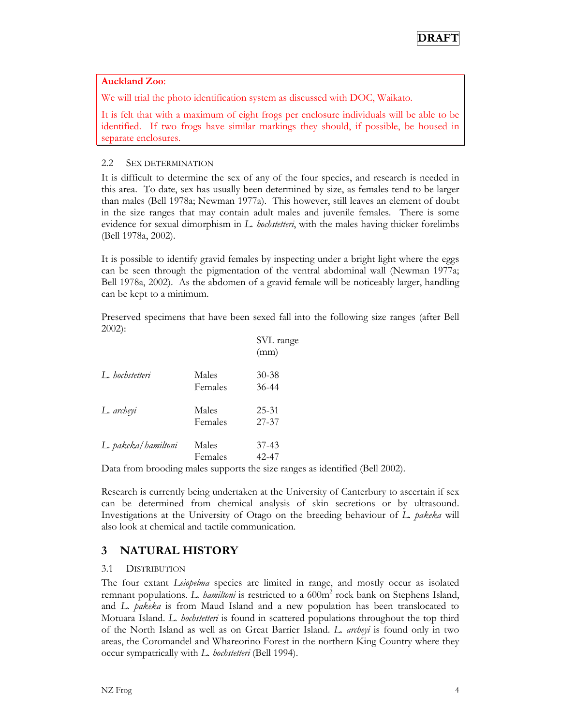#### **Auckland Zoo**:

We will trial the photo identification system as discussed with DOC, Waikato.

It is felt that with a maximum of eight frogs per enclosure individuals will be able to be identified. If two frogs have similar markings they should, if possible, be housed in separate enclosures.

#### 2.2 SEX DETERMINATION

It is difficult to determine the sex of any of the four species, and research is needed in this area. To date, sex has usually been determined by size, as females tend to be larger than males (Bell 1978a; Newman 1977a). This however, still leaves an element of doubt in the size ranges that may contain adult males and juvenile females. There is some evidence for sexual dimorphism in *L. hochstetteri*, with the males having thicker forelimbs (Bell 1978a, 2002).

It is possible to identify gravid females by inspecting under a bright light where the eggs can be seen through the pigmentation of the ventral abdominal wall (Newman 1977a; Bell 1978a, 2002). As the abdomen of a gravid female will be noticeably larger, handling can be kept to a minimum.

Preserved specimens that have been sexed fall into the following size ranges (after Bell 2002):

|                     |                  | SVL range<br>(mm)  |
|---------------------|------------------|--------------------|
| L. hochstetteri     | Males<br>Females | $30 - 38$<br>36-44 |
| L. archeyi          | Males<br>Females | $25 - 31$<br>27-37 |
| L. pakeka/hamiltoni | Males<br>Females | $37-43$<br>42-47   |

Data from brooding males supports the size ranges as identified (Bell 2002).

Research is currently being undertaken at the University of Canterbury to ascertain if sex can be determined from chemical analysis of skin secretions or by ultrasound. Investigations at the University of Otago on the breeding behaviour of *L. pakeka* will also look at chemical and tactile communication.

## **3 NATURAL HISTORY**

#### 3.1 DISTRIBUTION

The four extant *Leiopelma* species are limited in range, and mostly occur as isolated remnant populations. *L. hamiltoni* is restricted to a 600m<sup>2</sup> rock bank on Stephens Island, and *L. pakeka* is from Maud Island and a new population has been translocated to Motuara Island. *L. hochstetteri* is found in scattered populations throughout the top third of the North Island as well as on Great Barrier Island. *L. archeyi* is found only in two areas, the Coromandel and Whareorino Forest in the northern King Country where they occur sympatrically with *L. hochstetteri* (Bell 1994).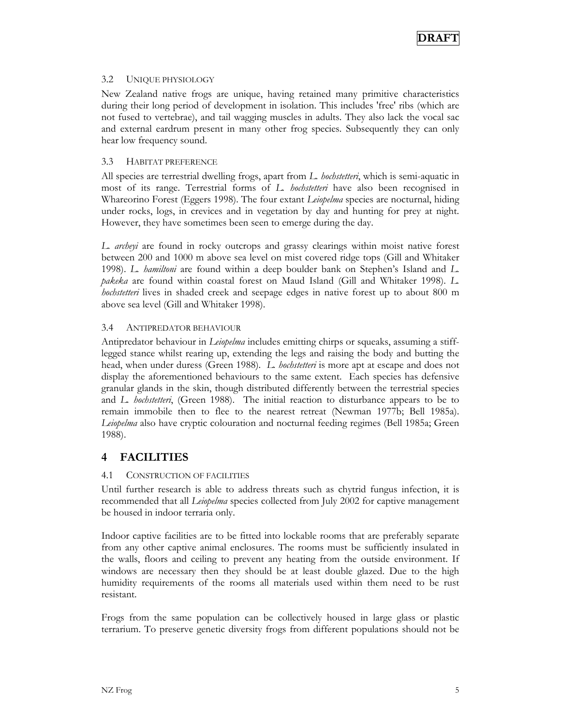#### 3.2 UNIQUE PHYSIOLOGY

New Zealand native frogs are unique, having retained many primitive characteristics during their long period of development in isolation. This includes 'free' ribs (which are not fused to vertebrae), and tail wagging muscles in adults. They also lack the vocal sac and external eardrum present in many other frog species. Subsequently they can only hear low frequency sound.

#### 3.3 HABITAT PREFERENCE

All species are terrestrial dwelling frogs, apart from *L. hochstetteri*, which is semi-aquatic in most of its range. Terrestrial forms of *L. hochstetteri* have also been recognised in Whareorino Forest (Eggers 1998). The four extant *Leiopelma* species are nocturnal, hiding under rocks, logs, in crevices and in vegetation by day and hunting for prey at night. However, they have sometimes been seen to emerge during the day.

*L. archeyi* are found in rocky outcrops and grassy clearings within moist native forest between 200 and 1000 m above sea level on mist covered ridge tops (Gill and Whitaker 1998). *L. hamiltoni* are found within a deep boulder bank on Stephen's Island and *L. pakeka* are found within coastal forest on Maud Island (Gill and Whitaker 1998). *L. hochstetteri* lives in shaded creek and seepage edges in native forest up to about 800 m above sea level (Gill and Whitaker 1998).

#### 3.4 ANTIPREDATOR BEHAVIOUR

Antipredator behaviour in *Leiopelma* includes emitting chirps or squeaks, assuming a stifflegged stance whilst rearing up, extending the legs and raising the body and butting the head, when under duress (Green 1988). *L. hochstetteri* is more apt at escape and does not display the aforementioned behaviours to the same extent. Each species has defensive granular glands in the skin, though distributed differently between the terrestrial species and *L. hochstetteri*, (Green 1988). The initial reaction to disturbance appears to be to remain immobile then to flee to the nearest retreat (Newman 1977b; Bell 1985a). *Leiopelma* also have cryptic colouration and nocturnal feeding regimes (Bell 1985a; Green 1988).

#### **4 FACILITIES**

#### 4.1 CONSTRUCTION OF FACILITIES

Until further research is able to address threats such as chytrid fungus infection, it is recommended that all *Leiopelma* species collected from July 2002 for captive management be housed in indoor terraria only.

Indoor captive facilities are to be fitted into lockable rooms that are preferably separate from any other captive animal enclosures. The rooms must be sufficiently insulated in the walls, floors and ceiling to prevent any heating from the outside environment. If windows are necessary then they should be at least double glazed. Due to the high humidity requirements of the rooms all materials used within them need to be rust resistant.

Frogs from the same population can be collectively housed in large glass or plastic terrarium. To preserve genetic diversity frogs from different populations should not be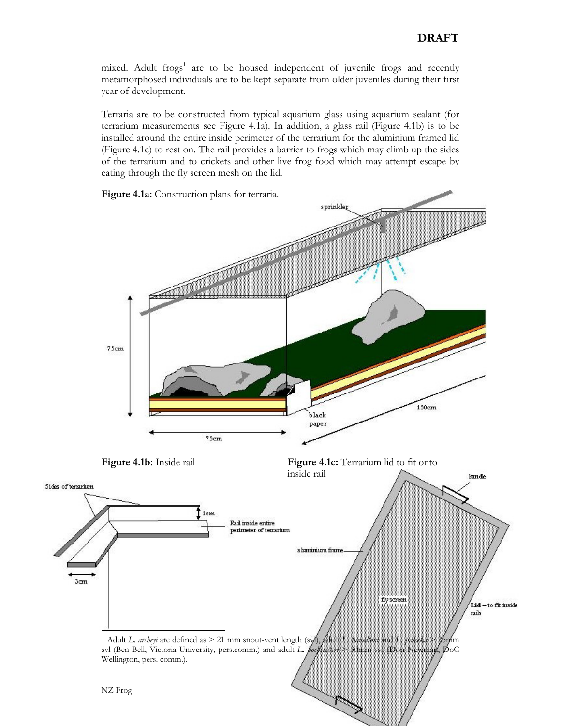mixed. Adult frogs<sup>1</sup> are to be housed independent of juvenile frogs and recently metamorphosed individuals are to be kept separate from older juveniles during their first year of development.

Terraria are to be constructed from typical aquarium glass using aquarium sealant (for terrarium measurements see Figure 4.1a). In addition, a glass rail (Figure 4.1b) is to be installed around the entire inside perimeter of the terrarium for the aluminium framed lid (Figure 4.1c) to rest on. The rail provides a barrier to frogs which may climb up the sides of the terrarium and to crickets and other live frog food which may attempt escape by eating through the fly screen mesh on the lid.

**Figure 4.1a:** Construction plans for terraria. sprinkler 75cm 150cm black paper 75cm **Figure 4.1b:** Inside rail **Figure 4.1c:** Terrarium lid to fit onto inside rail handle Sides of terrarium 1cm Rail inside entire perimeter of terrarium a harrirritara frame **Jon** fly screen Lid - to fit inside rails  $\overline{a}$ <sup>1</sup> Adult *L. archeyi* are defined as > 21 mm snout-vent length (svl), adult *L. hamiltoni* and *L. pakeka* > 25mm svl (Ben Bell, Victoria University, pers.comm.) and adult *L. pochstetteri* > 30mm svl (Don Wellington, pers. comm.). NZ Frog 6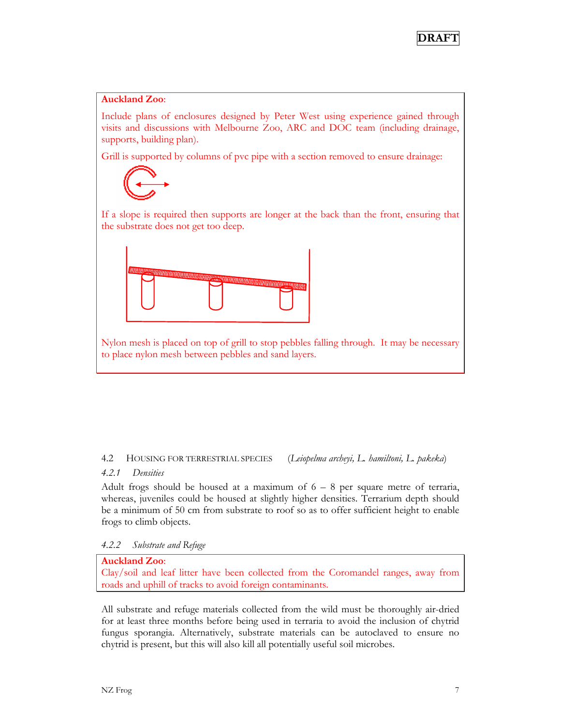#### **Auckland Zoo**:

Include plans of enclosures designed by Peter West using experience gained through visits and discussions with Melbourne Zoo, ARC and DOC team (including drainage, supports, building plan).

Grill is supported by columns of pvc pipe with a section removed to ensure drainage:



If a slope is required then supports are longer at the back than the front, ensuring that the substrate does not get too deep.



Nylon mesh is placed on top of grill to stop pebbles falling through. It may be necessary to place nylon mesh between pebbles and sand layers.

#### 4.2 HOUSING FOR TERRESTRIAL SPECIES (*Leiopelma archeyi, L. hamiltoni, L. pakeka*)

#### *4.2.1 Densities*

Adult frogs should be housed at a maximum of  $6 - 8$  per square metre of terraria, whereas, juveniles could be housed at slightly higher densities. Terrarium depth should be a minimum of 50 cm from substrate to roof so as to offer sufficient height to enable frogs to climb objects.

*4.2.2 Substrate and Refuge* 

#### **Auckland Zoo**:

Clay/soil and leaf litter have been collected from the Coromandel ranges, away from roads and uphill of tracks to avoid foreign contaminants.

All substrate and refuge materials collected from the wild must be thoroughly air-dried for at least three months before being used in terraria to avoid the inclusion of chytrid fungus sporangia. Alternatively, substrate materials can be autoclaved to ensure no chytrid is present, but this will also kill all potentially useful soil microbes.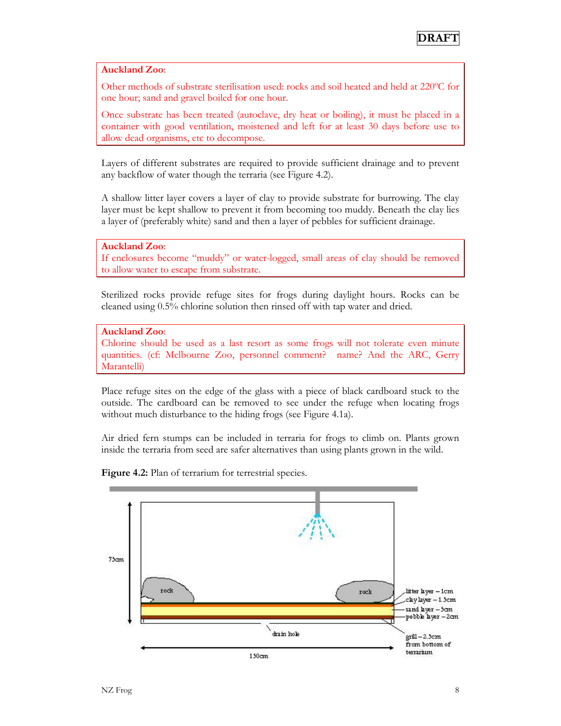#### **Auckland Zoo**:

Other methods of substrate sterilisation used: rocks and soil heated and held at 220ºC for one hour; sand and gravel boiled for one hour.

Once substrate has been treated (autoclave, dry heat or boiling), it must be placed in a container with good ventilation, moistened and left for at least 30 days before use to allow dead organisms, etc to decompose.

Layers of different substrates are required to provide sufficient drainage and to prevent any backflow of water though the terraria (see Figure 4.2).

A shallow litter layer covers a layer of clay to provide substrate for burrowing. The clay layer must be kept shallow to prevent it from becoming too muddy. Beneath the clay lies a layer of (preferably white) sand and then a layer of pebbles for sufficient drainage.

**Auckland Zoo**:

If enclosures become "muddy" or water-logged, small areas of clay should be removed to allow water to escape from substrate.

Sterilized rocks provide refuge sites for frogs during daylight hours. Rocks can be cleaned using 0.5% chlorine solution then rinsed off with tap water and dried.

#### **Auckland Zoo**:

Chlorine should be used as a last resort as some frogs will not tolerate even minute quantities. (cf: Melbourne Zoo, personnel comment? name? And the ARC, Gerry Marantelli)

Place refuge sites on the edge of the glass with a piece of black cardboard stuck to the outside. The cardboard can be removed to see under the refuge when locating frogs without much disturbance to the hiding frogs (see Figure 4.1a).

Air dried fern stumps can be included in terraria for frogs to climb on. Plants grown inside the terraria from seed are safer alternatives than using plants grown in the wild.



Figure 4.2: Plan of terrarium for terrestrial species.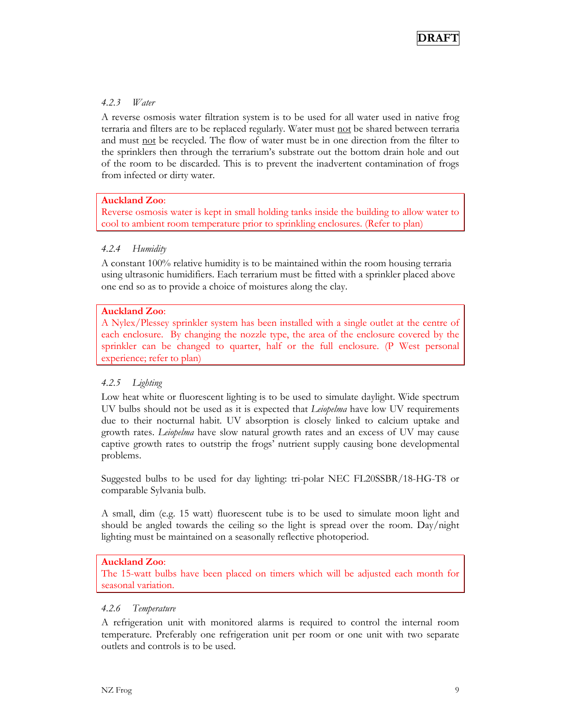

#### *4.2.3 Water*

A reverse osmosis water filtration system is to be used for all water used in native frog terraria and filters are to be replaced regularly. Water must not be shared between terraria and must not be recycled. The flow of water must be in one direction from the filter to the sprinklers then through the terrarium's substrate out the bottom drain hole and out of the room to be discarded. This is to prevent the inadvertent contamination of frogs from infected or dirty water.

#### **Auckland Zoo**:

Reverse osmosis water is kept in small holding tanks inside the building to allow water to cool to ambient room temperature prior to sprinkling enclosures. (Refer to plan)

#### *4.2.4 Humidity*

A constant 100% relative humidity is to be maintained within the room housing terraria using ultrasonic humidifiers. Each terrarium must be fitted with a sprinkler placed above one end so as to provide a choice of moistures along the clay.

#### **Auckland Zoo**:

A Nylex/Plessey sprinkler system has been installed with a single outlet at the centre of each enclosure. By changing the nozzle type, the area of the enclosure covered by the sprinkler can be changed to quarter, half or the full enclosure. (P West personal experience; refer to plan)

#### *4.2.5 Lighting*

Low heat white or fluorescent lighting is to be used to simulate daylight. Wide spectrum UV bulbs should not be used as it is expected that *Leiopelma* have low UV requirements due to their nocturnal habit. UV absorption is closely linked to calcium uptake and growth rates. *Leiopelma* have slow natural growth rates and an excess of UV may cause captive growth rates to outstrip the frogs' nutrient supply causing bone developmental problems.

Suggested bulbs to be used for day lighting: tri-polar NEC FL20SSBR/18-HG-T8 or comparable Sylvania bulb.

A small, dim (e.g. 15 watt) fluorescent tube is to be used to simulate moon light and should be angled towards the ceiling so the light is spread over the room. Day/night lighting must be maintained on a seasonally reflective photoperiod.

#### **Auckland Zoo**:

The 15-watt bulbs have been placed on timers which will be adjusted each month for seasonal variation.

#### *4.2.6 Temperature*

A refrigeration unit with monitored alarms is required to control the internal room temperature. Preferably one refrigeration unit per room or one unit with two separate outlets and controls is to be used.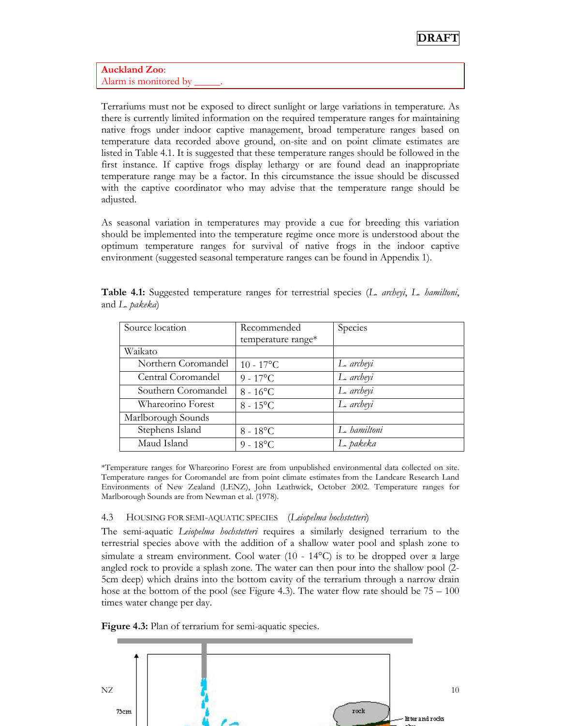**Auckland Zoo**: Alarm is monitored by

Terrariums must not be exposed to direct sunlight or large variations in temperature. As there is currently limited information on the required temperature ranges for maintaining native frogs under indoor captive management, broad temperature ranges based on temperature data recorded above ground, on-site and on point climate estimates are listed in Table 4.1. It is suggested that these temperature ranges should be followed in the first instance. If captive frogs display lethargy or are found dead an inappropriate temperature range may be a factor. In this circumstance the issue should be discussed with the captive coordinator who may advise that the temperature range should be adjusted.

As seasonal variation in temperatures may provide a cue for breeding this variation should be implemented into the temperature regime once more is understood about the optimum temperature ranges for survival of native frogs in the indoor captive environment (suggested seasonal temperature ranges can be found in Appendix 1).

| Source location     | Recommended        | Species      |
|---------------------|--------------------|--------------|
|                     | temperature range* |              |
| Waikato             |                    |              |
| Northern Coromandel | $10 - 17$ °C       | L. archeyi   |
| Central Coromandel  | $9 - 17^{\circ}C$  | L. archeyi   |
| Southern Coromandel | $8 - 16$ °C        | L. archeyi   |
| Whareorino Forest   | $8 - 15^{\circ}$ C | L. archeyi   |
| Marlborough Sounds  |                    |              |
| Stephens Island     | $8 - 18$ °C        | L. hamiltoni |
| Maud Island         | $9 - 18$ °C        | L. pakeka    |

**Table 4.1:** Suggested temperature ranges for terrestrial species (*L. archeyi*, *L. hamiltoni*, and *L. pakeka*)

\*Temperature ranges for Whareorino Forest are from unpublished environmental data collected on site. Temperature ranges for Coromandel are from point climate estimates from the Landcare Research Land Environments of New Zealand (LENZ), John Leathwick, October 2002. Temperature ranges for Marlborough Sounds are from Newman et al. (1978).

#### 4.3 HOUSING FOR SEMI-AQUATIC SPECIES (*Leiopelma hochstetteri*)

The semi-aquatic *Leiopelma hochstetteri* requires a similarly designed terrarium to the terrestrial species above with the addition of a shallow water pool and splash zone to simulate a stream environment. Cool water  $(10 - 14^{\circ}C)$  is to be dropped over a large angled rock to provide a splash zone. The water can then pour into the shallow pool (2- 5cm deep) which drains into the bottom cavity of the terrarium through a narrow drain hose at the bottom of the pool (see Figure 4.3). The water flow rate should be  $75 - 100$ times water change per day.

**Figure 4.3:** Plan of terrarium for semi-aquatic species.

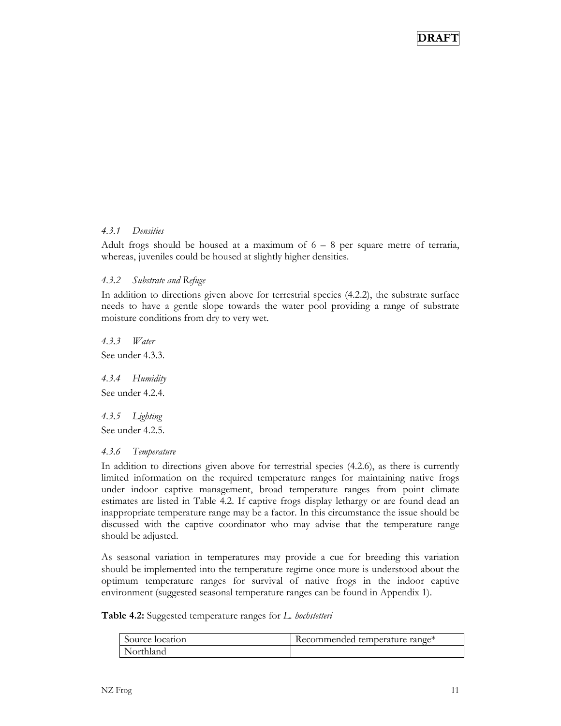#### *4.3.1 Densities*

Adult frogs should be housed at a maximum of  $6 - 8$  per square metre of terraria, whereas, juveniles could be housed at slightly higher densities.

#### *4.3.2 Substrate and Refuge*

In addition to directions given above for terrestrial species (4.2.2), the substrate surface needs to have a gentle slope towards the water pool providing a range of substrate moisture conditions from dry to very wet.

*4.3.3 Water*  See under 4.3.3.

*4.3.4 Humidity*  See under 4.2.4.

*4.3.5 Lighting*  See under 4.2.5.

#### *4.3.6 Temperature*

In addition to directions given above for terrestrial species (4.2.6), as there is currently limited information on the required temperature ranges for maintaining native frogs under indoor captive management, broad temperature ranges from point climate estimates are listed in Table 4.2. If captive frogs display lethargy or are found dead an inappropriate temperature range may be a factor. In this circumstance the issue should be discussed with the captive coordinator who may advise that the temperature range should be adjusted.

As seasonal variation in temperatures may provide a cue for breeding this variation should be implemented into the temperature regime once more is understood about the optimum temperature ranges for survival of native frogs in the indoor captive environment (suggested seasonal temperature ranges can be found in Appendix 1).

**Table 4.2:** Suggested temperature ranges for *L. hochstetteri*

| Source location | Recommended temperature range* |
|-----------------|--------------------------------|
| Northland       |                                |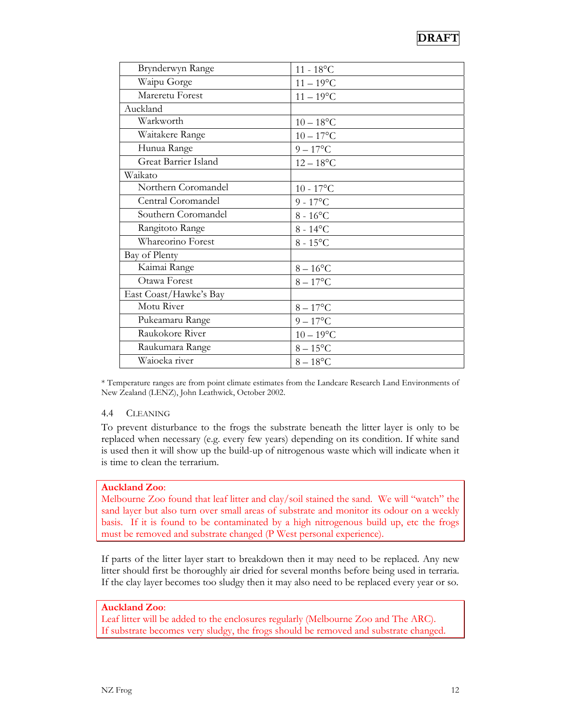| Brynderwyn Range       | $11 - 18^{\circ}C$ |
|------------------------|--------------------|
| Waipu Gorge            | $11 - 19$ °C       |
| Mareretu Forest        | $11 - 19$ °C       |
| Auckland               |                    |
| Warkworth              | $10 - 18$ °C       |
| Waitakere Range        | $10 - 17$ °C       |
| Hunua Range            | $9-17$ °C          |
| Great Barrier Island   | $12 - 18$ °C       |
| Waikato                |                    |
| Northern Coromandel    | $10 - 17$ °C       |
| Central Coromandel     | $9 - 17$ °C        |
| Southern Coromandel    | $8 - 16$ °C        |
| Rangitoto Range        | $8 - 14$ °C        |
| Whareorino Forest      | $8 - 15^{\circ}$ C |
| Bay of Plenty          |                    |
| Kaimai Range           | $8-16$ °C          |
| Otawa Forest           | $8-17$ °C          |
| East Coast/Hawke's Bay |                    |
| Motu River             | $8-17$ °C          |
| Pukeamaru Range        | $9-17$ °C          |
| Raukokore River        | $10 - 19$ °C       |
| Raukumara Range        | $8-15$ °C          |
| Waioeka river          | $8-18$ °C          |

\* Temperature ranges are from point climate estimates from the Landcare Research Land Environments of New Zealand (LENZ), John Leathwick, October 2002.

#### 4.4 CLEANING

To prevent disturbance to the frogs the substrate beneath the litter layer is only to be replaced when necessary (e.g. every few years) depending on its condition. If white sand is used then it will show up the build-up of nitrogenous waste which will indicate when it is time to clean the terrarium.

#### **Auckland Zoo**:

Melbourne Zoo found that leaf litter and clay/soil stained the sand. We will "watch" the sand layer but also turn over small areas of substrate and monitor its odour on a weekly basis. If it is found to be contaminated by a high nitrogenous build up, etc the frogs must be removed and substrate changed (P West personal experience).

If parts of the litter layer start to breakdown then it may need to be replaced. Any new litter should first be thoroughly air dried for several months before being used in terraria. If the clay layer becomes too sludgy then it may also need to be replaced every year or so.

#### **Auckland Zoo**:

Leaf litter will be added to the enclosures regularly (Melbourne Zoo and The ARC). If substrate becomes very sludgy, the frogs should be removed and substrate changed.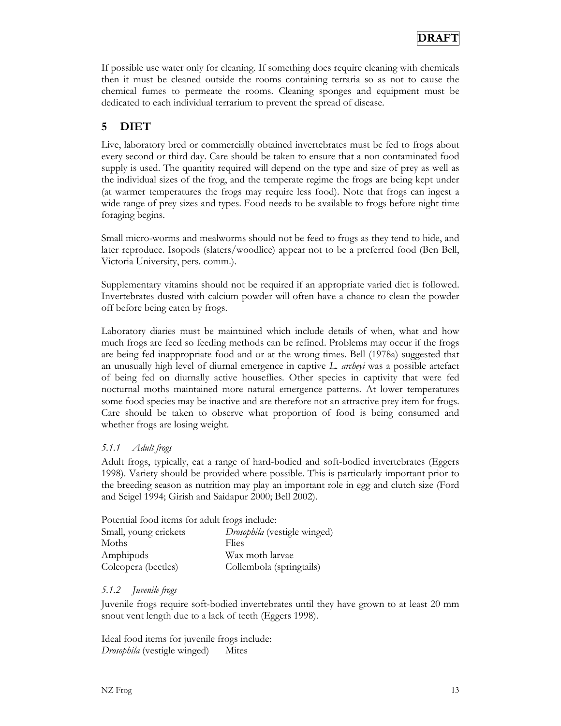If possible use water only for cleaning. If something does require cleaning with chemicals then it must be cleaned outside the rooms containing terraria so as not to cause the chemical fumes to permeate the rooms. Cleaning sponges and equipment must be dedicated to each individual terrarium to prevent the spread of disease.

## **5 DIET**

Live, laboratory bred or commercially obtained invertebrates must be fed to frogs about every second or third day. Care should be taken to ensure that a non contaminated food supply is used. The quantity required will depend on the type and size of prey as well as the individual sizes of the frog, and the temperate regime the frogs are being kept under (at warmer temperatures the frogs may require less food). Note that frogs can ingest a wide range of prey sizes and types. Food needs to be available to frogs before night time foraging begins.

Small micro-worms and mealworms should not be feed to frogs as they tend to hide, and later reproduce. Isopods (slaters/woodlice) appear not to be a preferred food (Ben Bell, Victoria University, pers. comm.).

Supplementary vitamins should not be required if an appropriate varied diet is followed. Invertebrates dusted with calcium powder will often have a chance to clean the powder off before being eaten by frogs.

Laboratory diaries must be maintained which include details of when, what and how much frogs are feed so feeding methods can be refined. Problems may occur if the frogs are being fed inappropriate food and or at the wrong times. Bell (1978a) suggested that an unusually high level of diurnal emergence in captive *L. archeyi* was a possible artefact of being fed on diurnally active houseflies. Other species in captivity that were fed nocturnal moths maintained more natural emergence patterns. At lower temperatures some food species may be inactive and are therefore not an attractive prey item for frogs. Care should be taken to observe what proportion of food is being consumed and whether frogs are losing weight.

#### *5.1.1 Adult frogs*

Adult frogs, typically, eat a range of hard-bodied and soft-bodied invertebrates (Eggers 1998). Variety should be provided where possible. This is particularly important prior to the breeding season as nutrition may play an important role in egg and clutch size (Ford and Seigel 1994; Girish and Saidapur 2000; Bell 2002).

Potential food items for adult frogs include:

| Small, young crickets | Drosophila (vestigle winged) |
|-----------------------|------------------------------|
| Moths                 | Flies                        |
| Amphipods             | Wax moth larvae              |
| Coleopera (beetles)   | Collembola (springtails)     |

#### *5.1.2 Juvenile frogs*

Juvenile frogs require soft-bodied invertebrates until they have grown to at least 20 mm snout vent length due to a lack of teeth (Eggers 1998).

Ideal food items for juvenile frogs include: *Drosophila* (vestigle winged) Mites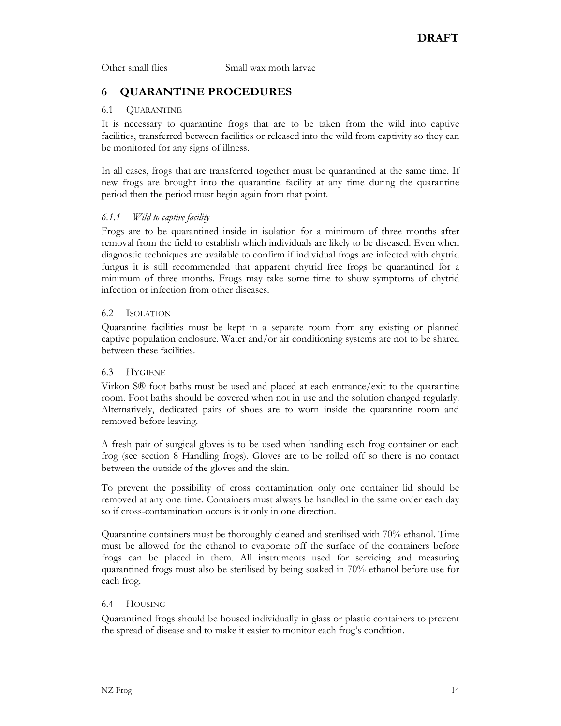Other small flies Small wax moth larvae

## **6 QUARANTINE PROCEDURES**

#### 6.1 QUARANTINE

It is necessary to quarantine frogs that are to be taken from the wild into captive facilities, transferred between facilities or released into the wild from captivity so they can be monitored for any signs of illness.

In all cases, frogs that are transferred together must be quarantined at the same time. If new frogs are brought into the quarantine facility at any time during the quarantine period then the period must begin again from that point.

#### *6.1.1 Wild to captive facility*

Frogs are to be quarantined inside in isolation for a minimum of three months after removal from the field to establish which individuals are likely to be diseased. Even when diagnostic techniques are available to confirm if individual frogs are infected with chytrid fungus it is still recommended that apparent chytrid free frogs be quarantined for a minimum of three months. Frogs may take some time to show symptoms of chytrid infection or infection from other diseases.

#### 6.2 ISOLATION

Quarantine facilities must be kept in a separate room from any existing or planned captive population enclosure. Water and/or air conditioning systems are not to be shared between these facilities.

#### 6.3 HYGIENE

Virkon S® foot baths must be used and placed at each entrance/exit to the quarantine room. Foot baths should be covered when not in use and the solution changed regularly. Alternatively, dedicated pairs of shoes are to worn inside the quarantine room and removed before leaving.

A fresh pair of surgical gloves is to be used when handling each frog container or each frog (see section 8 Handling frogs). Gloves are to be rolled off so there is no contact between the outside of the gloves and the skin.

To prevent the possibility of cross contamination only one container lid should be removed at any one time. Containers must always be handled in the same order each day so if cross-contamination occurs is it only in one direction.

Quarantine containers must be thoroughly cleaned and sterilised with 70% ethanol. Time must be allowed for the ethanol to evaporate off the surface of the containers before frogs can be placed in them. All instruments used for servicing and measuring quarantined frogs must also be sterilised by being soaked in 70% ethanol before use for each frog.

#### 6.4 HOUSING

Quarantined frogs should be housed individually in glass or plastic containers to prevent the spread of disease and to make it easier to monitor each frog's condition.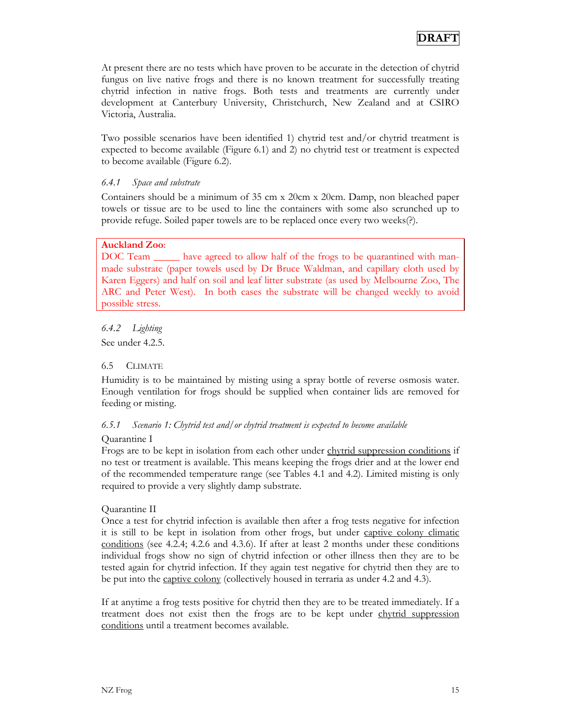At present there are no tests which have proven to be accurate in the detection of chytrid fungus on live native frogs and there is no known treatment for successfully treating chytrid infection in native frogs. Both tests and treatments are currently under development at Canterbury University, Christchurch, New Zealand and at CSIRO Victoria, Australia.

Two possible scenarios have been identified 1) chytrid test and/or chytrid treatment is expected to become available (Figure 6.1) and 2) no chytrid test or treatment is expected to become available (Figure 6.2).

#### *6.4.1 Space and substrate*

Containers should be a minimum of 35 cm x 20cm x 20cm. Damp, non bleached paper towels or tissue are to be used to line the containers with some also scrunched up to provide refuge. Soiled paper towels are to be replaced once every two weeks(?).

#### **Auckland Zoo**:

DOC Team \_\_\_\_\_\_ have agreed to allow half of the frogs to be quarantined with manmade substrate (paper towels used by Dr Bruce Waldman, and capillary cloth used by Karen Eggers) and half on soil and leaf litter substrate (as used by Melbourne Zoo, The ARC and Peter West). In both cases the substrate will be changed weekly to avoid possible stress.

*6.4.2 Lighting*  See under 4.2.5.

#### 6.5 CLIMATE

Humidity is to be maintained by misting using a spray bottle of reverse osmosis water. Enough ventilation for frogs should be supplied when container lids are removed for feeding or misting.

#### *6.5.1 Scenario 1: Chytrid test and/or chytrid treatment is expected to become available*

#### Quarantine I

Frogs are to be kept in isolation from each other under chytrid suppression conditions if no test or treatment is available. This means keeping the frogs drier and at the lower end of the recommended temperature range (see Tables 4.1 and 4.2). Limited misting is only required to provide a very slightly damp substrate.

#### Quarantine II

Once a test for chytrid infection is available then after a frog tests negative for infection it is still to be kept in isolation from other frogs, but under captive colony climatic conditions (see 4.2.4; 4.2.6 and 4.3.6). If after at least 2 months under these conditions individual frogs show no sign of chytrid infection or other illness then they are to be tested again for chytrid infection. If they again test negative for chytrid then they are to be put into the captive colony (collectively housed in terraria as under 4.2 and 4.3).

If at anytime a frog tests positive for chytrid then they are to be treated immediately. If a treatment does not exist then the frogs are to be kept under chytrid suppression conditions until a treatment becomes available.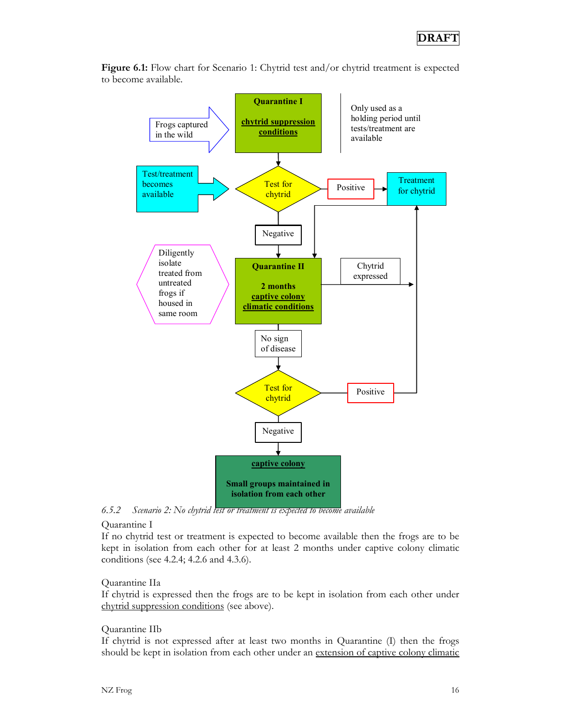

**Figure 6.1:** Flow chart for Scenario 1: Chytrid test and/or chytrid treatment is expected to become available.

*6.5.2 Scenario 2: No chytrid test or treatment is expected to become available* 

#### Quarantine I

If no chytrid test or treatment is expected to become available then the frogs are to be kept in isolation from each other for at least 2 months under captive colony climatic conditions (see 4.2.4; 4.2.6 and 4.3.6).

#### Quarantine IIa

If chytrid is expressed then the frogs are to be kept in isolation from each other under chytrid suppression conditions (see above).

#### Quarantine IIb

If chytrid is not expressed after at least two months in Quarantine (I) then the frogs should be kept in isolation from each other under an extension of captive colony climatic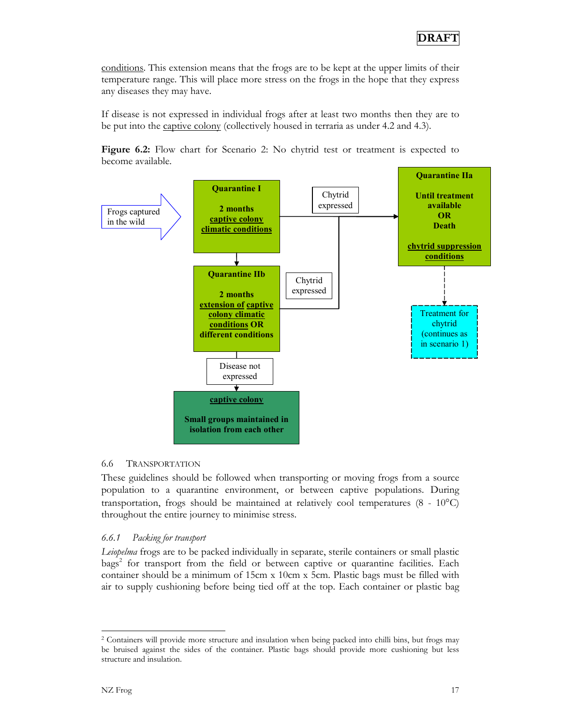conditions. This extension means that the frogs are to be kept at the upper limits of their temperature range. This will place more stress on the frogs in the hope that they express any diseases they may have.

If disease is not expressed in individual frogs after at least two months then they are to be put into the captive colony (collectively housed in terraria as under 4.2 and 4.3).

**Figure 6.2:** Flow chart for Scenario 2: No chytrid test or treatment is expected to become available.



#### 6.6 TRANSPORTATION

These guidelines should be followed when transporting or moving frogs from a source population to a quarantine environment, or between captive populations. During transportation, frogs should be maintained at relatively cool temperatures  $(8 - 10^{\circ}C)$ throughout the entire journey to minimise stress.

#### *6.6.1 Packing for transport*

*Leiopelma* frogs are to be packed individually in separate, sterile containers or small plastic bags<sup>2</sup> for transport from the field or between captive or quarantine facilities. Each container should be a minimum of 15cm x 10cm x 5cm. Plastic bags must be filled with air to supply cushioning before being tied off at the top. Each container or plastic bag

 $\overline{a}$ 

<sup>2</sup> Containers will provide more structure and insulation when being packed into chilli bins, but frogs may be bruised against the sides of the container. Plastic bags should provide more cushioning but less structure and insulation.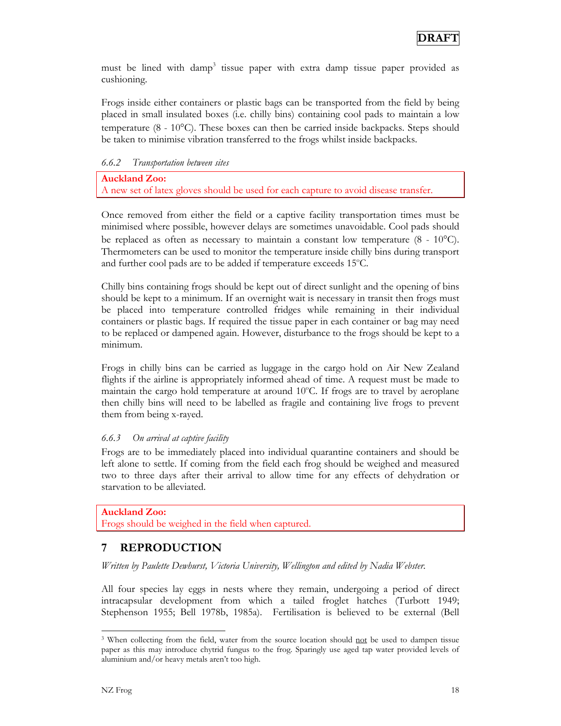must be lined with damp<sup>3</sup> tissue paper with extra damp tissue paper provided as cushioning.

Frogs inside either containers or plastic bags can be transported from the field by being placed in small insulated boxes (i.e. chilly bins) containing cool pads to maintain a low temperature (8 - 10°C). These boxes can then be carried inside backpacks. Steps should be taken to minimise vibration transferred to the frogs whilst inside backpacks.

*6.6.2 Transportation between sites* 

**Auckland Zoo:** A new set of latex gloves should be used for each capture to avoid disease transfer.

Once removed from either the field or a captive facility transportation times must be minimised where possible, however delays are sometimes unavoidable. Cool pads should be replaced as often as necessary to maintain a constant low temperature  $(8 - 10^{\circ}C)$ . Thermometers can be used to monitor the temperature inside chilly bins during transport and further cool pads are to be added if temperature exceeds 15°C.

Chilly bins containing frogs should be kept out of direct sunlight and the opening of bins should be kept to a minimum. If an overnight wait is necessary in transit then frogs must be placed into temperature controlled fridges while remaining in their individual containers or plastic bags. If required the tissue paper in each container or bag may need to be replaced or dampened again. However, disturbance to the frogs should be kept to a minimum.

Frogs in chilly bins can be carried as luggage in the cargo hold on Air New Zealand flights if the airline is appropriately informed ahead of time. A request must be made to maintain the cargo hold temperature at around 10°C. If frogs are to travel by aeroplane then chilly bins will need to be labelled as fragile and containing live frogs to prevent them from being x-rayed.

#### *6.6.3 On arrival at captive facility*

Frogs are to be immediately placed into individual quarantine containers and should be left alone to settle. If coming from the field each frog should be weighed and measured two to three days after their arrival to allow time for any effects of dehydration or starvation to be alleviated.

#### **Auckland Zoo:**

Frogs should be weighed in the field when captured.

### **7 REPRODUCTION**

*Written by Paulette Dewhurst, Victoria University, Wellington and edited by Nadia Webster.* 

All four species lay eggs in nests where they remain, undergoing a period of direct intracapsular development from which a tailed froglet hatches (Turbott 1949; Stephenson 1955; Bell 1978b, 1985a). Fertilisation is believed to be external (Bell

 $\overline{a}$ 

<sup>&</sup>lt;sup>3</sup> When collecting from the field, water from the source location should not be used to dampen tissue paper as this may introduce chytrid fungus to the frog. Sparingly use aged tap water provided levels of aluminium and/or heavy metals aren't too high.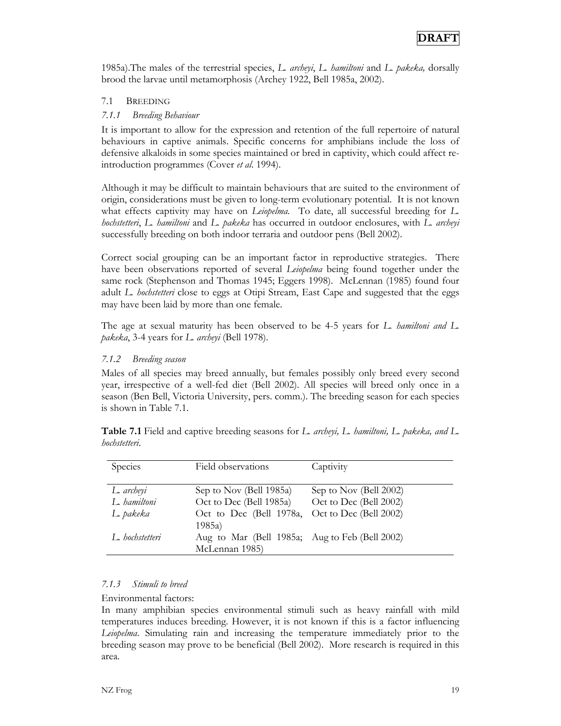1985a).The males of the terrestrial species, *L. archeyi*, *L. hamiltoni* and *L. pakeka,* dorsally brood the larvae until metamorphosis (Archey 1922, Bell 1985a, 2002).

#### 7.1 BREEDING

#### *7.1.1 Breeding Behaviour*

It is important to allow for the expression and retention of the full repertoire of natural behaviours in captive animals. Specific concerns for amphibians include the loss of defensive alkaloids in some species maintained or bred in captivity, which could affect reintroduction programmes (Cover *et al*. 1994).

Although it may be difficult to maintain behaviours that are suited to the environment of origin, considerations must be given to long-term evolutionary potential. It is not known what effects captivity may have on *Leiopelma.* To date, all successful breeding for *L. hochstetteri*, *L. hamiltoni* and *L. pakeka* has occurred in outdoor enclosures, with *L. archeyi* successfully breeding on both indoor terraria and outdoor pens (Bell 2002).

Correct social grouping can be an important factor in reproductive strategies. There have been observations reported of several *Leiopelma* being found together under the same rock (Stephenson and Thomas 1945; Eggers 1998). McLennan (1985) found four adult *L. hochstetteri* close to eggs at Otipi Stream, East Cape and suggested that the eggs may have been laid by more than one female.

The age at sexual maturity has been observed to be 4-5 years for *L. hamiltoni and L. pakeka*, 3-4 years for *L. archeyi* (Bell 1978).

#### *7.1.2 Breeding season*

Males of all species may breed annually, but females possibly only breed every second year, irrespective of a well-fed diet (Bell 2002). All species will breed only once in a season (Ben Bell, Victoria University, pers. comm.). The breeding season for each species is shown in Table 7.1.

| Table 7.1 Field and captive breeding seasons for L. archeyi, L. hamiltoni, L. pakeka, and L. |  |  |  |  |  |
|----------------------------------------------------------------------------------------------|--|--|--|--|--|
| hochstetteri.                                                                                |  |  |  |  |  |

| Species         | Field observations                             | Captivity              |
|-----------------|------------------------------------------------|------------------------|
| L. archeyi      | Sep to Nov (Bell 1985a)                        | Sep to Nov (Bell 2002) |
| L. hamiltoni    | Oct to Dec (Bell 1985a)                        | Oct to Dec (Bell 2002) |
| L. pakeka       | Oct to Dec (Bell 1978a, Oct to Dec (Bell 2002) |                        |
|                 | 1985a)                                         |                        |
| L. hochstetteri | Aug to Mar (Bell 1985a; Aug to Feb (Bell 2002) |                        |
|                 | McLennan 1985)                                 |                        |

#### *7.1.3 Stimuli to breed*

Environmental factors:

In many amphibian species environmental stimuli such as heavy rainfall with mild temperatures induces breeding. However, it is not known if this is a factor influencing *Leiopelma*. Simulating rain and increasing the temperature immediately prior to the breeding season may prove to be beneficial (Bell 2002). More research is required in this area.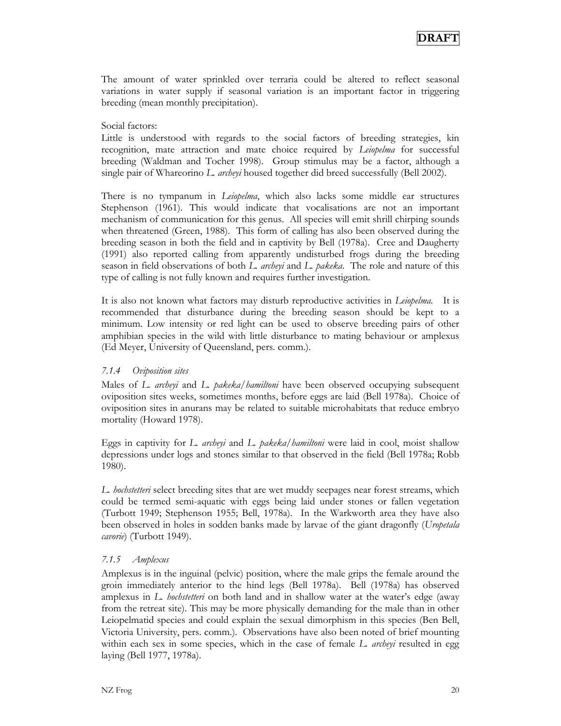The amount of water sprinkled over terraria could be altered to reflect seasonal variations in water supply if seasonal variation is an important factor in triggering breeding (mean monthly precipitation).

#### Social factors:

Little is understood with regards to the social factors of breeding strategies, kin recognition, mate attraction and mate choice required by *Leiopelma* for successful breeding (Waldman and Tocher 1998). Group stimulus may be a factor, although a single pair of Whareorino *L. archeyi* housed together did breed successfully (Bell 2002).

There is no tympanum in *Leiopelma*, which also lacks some middle ear structures Stephenson (1961). This would indicate that vocalisations are not an important mechanism of communication for this genus. All species will emit shrill chirping sounds when threatened (Green, 1988). This form of calling has also been observed during the breeding season in both the field and in captivity by Bell (1978a). Cree and Daugherty (1991) also reported calling from apparently undisturbed frogs during the breeding season in field observations of both *L. archeyi* and *L. pakeka*. The role and nature of this type of calling is not fully known and requires further investigation.

It is also not known what factors may disturb reproductive activities in *Leiopelma.* It is recommended that disturbance during the breeding season should be kept to a minimum. Low intensity or red light can be used to observe breeding pairs of other amphibian species in the wild with little disturbance to mating behaviour or amplexus (Ed Meyer, University of Queensland, pers. comm.).

#### *7.1.4 Oviposition sites*

Males of *L. archeyi* and *L. pakeka/hamiltoni* have been observed occupying subsequent oviposition sites weeks, sometimes months, before eggs are laid (Bell 1978a). Choice of oviposition sites in anurans may be related to suitable microhabitats that reduce embryo mortality (Howard 1978).

Eggs in captivity for *L. archeyi* and *L. pakeka/hamiltoni* were laid in cool, moist shallow depressions under logs and stones similar to that observed in the field (Bell 1978a; Robb 1980).

*L. hochstetteri* select breeding sites that are wet muddy seepages near forest streams, which could be termed semi-aquatic with eggs being laid under stones or fallen vegetation (Turbott 1949; Stephenson 1955; Bell, 1978a). In the Warkworth area they have also been observed in holes in sodden banks made by larvae of the giant dragonfly (*Uropetala cavorie*) (Turbott 1949).

#### *7.1.5 Amplexus*

Amplexus is in the inguinal (pelvic) position, where the male grips the female around the groin immediately anterior to the hind legs (Bell 1978a). Bell (1978a) has observed amplexus in *L. hochstetteri* on both land and in shallow water at the water's edge (away from the retreat site). This may be more physically demanding for the male than in other Leiopelmatid species and could explain the sexual dimorphism in this species (Ben Bell, Victoria University, pers. comm.). Observations have also been noted of brief mounting within each sex in some species, which in the case of female *L. archeyi* resulted in egg laying (Bell 1977, 1978a).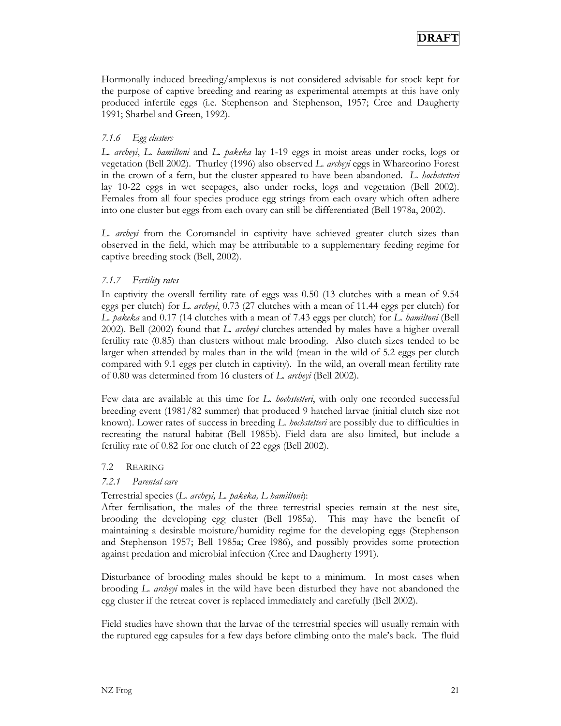Hormonally induced breeding/amplexus is not considered advisable for stock kept for the purpose of captive breeding and rearing as experimental attempts at this have only produced infertile eggs (i.e. Stephenson and Stephenson, 1957; Cree and Daugherty 1991; Sharbel and Green, 1992).

#### *7.1.6 Egg clusters*

*L. archeyi*, *L. hamiltoni* and *L. pakeka* lay 1-19 eggs in moist areas under rocks, logs or vegetation (Bell 2002). Thurley (1996) also observed *L. archeyi* eggs in Whareorino Forest in the crown of a fern, but the cluster appeared to have been abandoned. *L. hochstetteri* lay 10-22 eggs in wet seepages, also under rocks, logs and vegetation (Bell 2002). Females from all four species produce egg strings from each ovary which often adhere into one cluster but eggs from each ovary can still be differentiated (Bell 1978a, 2002).

*L. archeyi* from the Coromandel in captivity have achieved greater clutch sizes than observed in the field, which may be attributable to a supplementary feeding regime for captive breeding stock (Bell, 2002).

#### *7.1.7 Fertility rates*

In captivity the overall fertility rate of eggs was 0.50 (13 clutches with a mean of 9.54 eggs per clutch) for *L. archeyi*, 0.73 (27 clutches with a mean of 11.44 eggs per clutch) for *L. pakeka* and 0.17 (14 clutches with a mean of 7.43 eggs per clutch) for *L. hamiltoni* (Bell 2002). Bell (2002) found that *L. archeyi* clutches attended by males have a higher overall fertility rate (0.85) than clusters without male brooding. Also clutch sizes tended to be larger when attended by males than in the wild (mean in the wild of 5.2 eggs per clutch compared with 9.1 eggs per clutch in captivity). In the wild, an overall mean fertility rate of 0.80 was determined from 16 clusters of *L. archeyi* (Bell 2002).

Few data are available at this time for *L. hochstetteri*, with only one recorded successful breeding event (1981/82 summer) that produced 9 hatched larvae (initial clutch size not known). Lower rates of success in breeding *L. hochstetteri* are possibly due to difficulties in recreating the natural habitat (Bell 1985b). Field data are also limited, but include a fertility rate of 0.82 for one clutch of 22 eggs (Bell 2002).

#### 7.2 REARING

#### *7.2.1 Parental care*

#### Terrestrial species (*L. archeyi, L. pakeka, L hamiltoni*):

After fertilisation, the males of the three terrestrial species remain at the nest site, brooding the developing egg cluster (Bell 1985a). This may have the benefit of maintaining a desirable moisture/humidity regime for the developing eggs (Stephenson and Stephenson 1957; Bell 1985a; Cree l986), and possibly provides some protection against predation and microbial infection (Cree and Daugherty 1991).

Disturbance of brooding males should be kept to a minimum. In most cases when brooding *L. archeyi* males in the wild have been disturbed they have not abandoned the egg cluster if the retreat cover is replaced immediately and carefully (Bell 2002).

Field studies have shown that the larvae of the terrestrial species will usually remain with the ruptured egg capsules for a few days before climbing onto the male's back. The fluid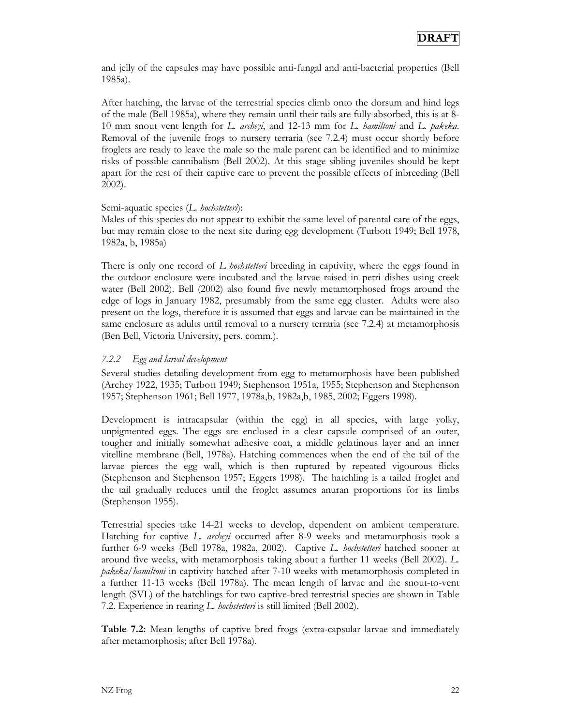and jelly of the capsules may have possible anti-fungal and anti-bacterial properties (Bell 1985a).

After hatching, the larvae of the terrestrial species climb onto the dorsum and hind legs of the male (Bell 1985a), where they remain until their tails are fully absorbed, this is at 8- 10 mm snout vent length for *L. archeyi*, and 12-13 mm for *L. hamiltoni* and *L. pakeka*. Removal of the juvenile frogs to nursery terraria (see 7.2.4) must occur shortly before froglets are ready to leave the male so the male parent can be identified and to minimize risks of possible cannibalism (Bell 2002). At this stage sibling juveniles should be kept apart for the rest of their captive care to prevent the possible effects of inbreeding (Bell 2002).

#### Semi-aquatic species (*L. hochstetteri*):

Males of this species do not appear to exhibit the same level of parental care of the eggs, but may remain close to the next site during egg development (Turbott 1949; Bell 1978, 1982a, b, 1985a)

There is only one record of *L hochstetteri* breeding in captivity, where the eggs found in the outdoor enclosure were incubated and the larvae raised in petri dishes using creek water (Bell 2002). Bell (2002) also found five newly metamorphosed frogs around the edge of logs in January 1982, presumably from the same egg cluster. Adults were also present on the logs, therefore it is assumed that eggs and larvae can be maintained in the same enclosure as adults until removal to a nursery terraria (see 7.2.4) at metamorphosis (Ben Bell, Victoria University, pers. comm.).

#### *7.2.2 Egg and larval development*

Several studies detailing development from egg to metamorphosis have been published (Archey 1922, 1935; Turbott 1949; Stephenson 1951a, 1955; Stephenson and Stephenson 1957; Stephenson 1961; Bell 1977, 1978a,b, 1982a,b, 1985, 2002; Eggers 1998).

Development is intracapsular (within the egg) in all species, with large yolky, unpigmented eggs. The eggs are enclosed in a clear capsule comprised of an outer, tougher and initially somewhat adhesive coat, a middle gelatinous layer and an inner vitelline membrane (Bell, 1978a). Hatching commences when the end of the tail of the larvae pierces the egg wall, which is then ruptured by repeated vigourous flicks (Stephenson and Stephenson 1957; Eggers 1998). The hatchling is a tailed froglet and the tail gradually reduces until the froglet assumes anuran proportions for its limbs (Stephenson 1955).

Terrestrial species take 14-21 weeks to develop, dependent on ambient temperature. Hatching for captive *L. archeyi* occurred after 8-9 weeks and metamorphosis took a further 6-9 weeks (Bell 1978a, 1982a, 2002). Captive *L. hochstetteri* hatched sooner at around five weeks, with metamorphosis taking about a further 11 weeks (Bell 2002). *L. pakeka/hamiltoni* in captivity hatched after 7-10 weeks with metamorphosis completed in a further 11-13 weeks (Bell 1978a). The mean length of larvae and the snout-to-vent length (SVL) of the hatchlings for two captive-bred terrestrial species are shown in Table 7.2. Experience in rearing *L. hochstetteri* is still limited (Bell 2002).

**Table 7.2:** Mean lengths of captive bred frogs (extra-capsular larvae and immediately after metamorphosis; after Bell 1978a).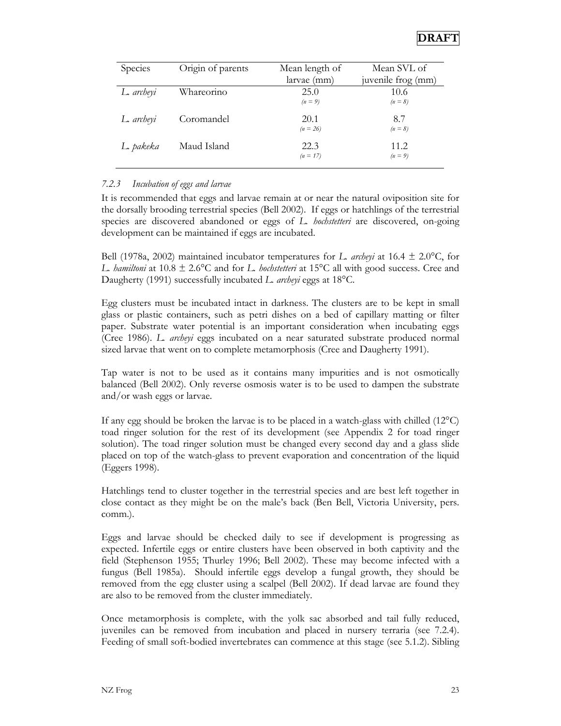

| Species    | Origin of parents | Mean length of<br>larvae (mm) | Mean SVL of<br>juvenile frog (mm) |
|------------|-------------------|-------------------------------|-----------------------------------|
| L. archeyi | Whareorino        | 25.0<br>$(n=9)$               | 10.6<br>$(n=8)$                   |
| L. archeyi | Coromandel        | 20.1<br>$(n = 26)$            | 8.7<br>$(n = 8)$                  |
| L. pakeka  | Maud Island       | 22.3<br>$(n = 17)$            | 11.2.<br>$(n=9)$                  |

#### *7.2.3 Incubation of eggs and larvae*

It is recommended that eggs and larvae remain at or near the natural oviposition site for the dorsally brooding terrestrial species (Bell 2002). If eggs or hatchlings of the terrestrial species are discovered abandoned or eggs of *L. hochstetteri* are discovered, on-going development can be maintained if eggs are incubated.

Bell (1978a, 2002) maintained incubator temperatures for *L. archeyi* at 16.4 ± 2.0°C, for *L. hamiltoni* at 10.8 ± 2.6°C and for *L. hochstetteri* at 15°C all with good success. Cree and Daugherty (1991) successfully incubated *L. archeyi* eggs at 18°C.

Egg clusters must be incubated intact in darkness. The clusters are to be kept in small glass or plastic containers, such as petri dishes on a bed of capillary matting or filter paper. Substrate water potential is an important consideration when incubating eggs (Cree 1986). *L. archeyi* eggs incubated on a near saturated substrate produced normal sized larvae that went on to complete metamorphosis (Cree and Daugherty 1991).

Tap water is not to be used as it contains many impurities and is not osmotically balanced (Bell 2002). Only reverse osmosis water is to be used to dampen the substrate and/or wash eggs or larvae.

If any egg should be broken the larvae is to be placed in a watch-glass with chilled  $(12^{\circ}C)$ toad ringer solution for the rest of its development (see Appendix 2 for toad ringer solution). The toad ringer solution must be changed every second day and a glass slide placed on top of the watch-glass to prevent evaporation and concentration of the liquid (Eggers 1998).

Hatchlings tend to cluster together in the terrestrial species and are best left together in close contact as they might be on the male's back (Ben Bell, Victoria University, pers. comm.).

Eggs and larvae should be checked daily to see if development is progressing as expected. Infertile eggs or entire clusters have been observed in both captivity and the field (Stephenson 1955; Thurley 1996; Bell 2002). These may become infected with a fungus (Bell 1985a). Should infertile eggs develop a fungal growth, they should be removed from the egg cluster using a scalpel (Bell 2002). If dead larvae are found they are also to be removed from the cluster immediately.

Once metamorphosis is complete, with the yolk sac absorbed and tail fully reduced, juveniles can be removed from incubation and placed in nursery terraria (see 7.2.4). Feeding of small soft-bodied invertebrates can commence at this stage (see 5.1.2). Sibling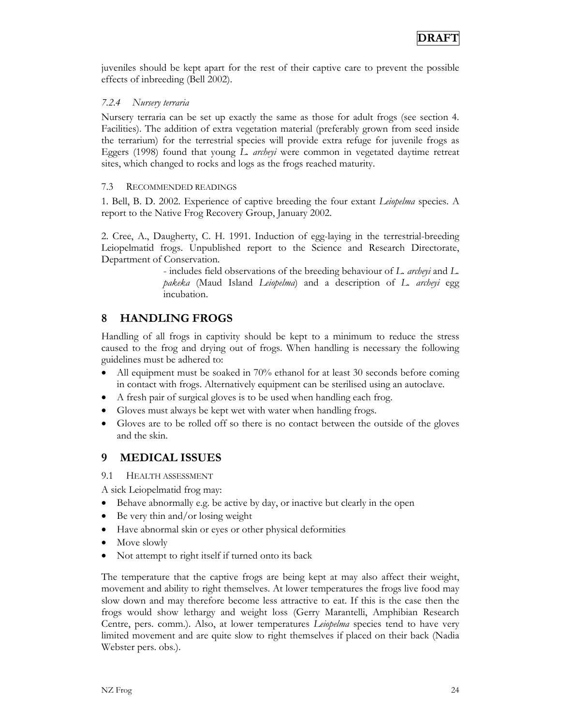juveniles should be kept apart for the rest of their captive care to prevent the possible effects of inbreeding (Bell 2002).

#### *7.2.4 Nursery terraria*

Nursery terraria can be set up exactly the same as those for adult frogs (see section 4. Facilities). The addition of extra vegetation material (preferably grown from seed inside the terrarium) for the terrestrial species will provide extra refuge for juvenile frogs as Eggers (1998) found that young *L. archeyi* were common in vegetated daytime retreat sites, which changed to rocks and logs as the frogs reached maturity.

#### 7.3 RECOMMENDED READINGS

1. Bell, B. D. 2002. Experience of captive breeding the four extant *Leiopelma* species. A report to the Native Frog Recovery Group, January 2002.

2. Cree, A., Daugherty, C. H. 1991. Induction of egg-laying in the terrestrial-breeding Leiopelmatid frogs. Unpublished report to the Science and Research Directorate, Department of Conservation.

> - includes field observations of the breeding behaviour of *L. archeyi* and *L. pakeka* (Maud Island *Leiopelma*) and a description of *L. archeyi* egg incubation.

## **8 HANDLING FROGS**

Handling of all frogs in captivity should be kept to a minimum to reduce the stress caused to the frog and drying out of frogs. When handling is necessary the following guidelines must be adhered to:

- All equipment must be soaked in 70% ethanol for at least 30 seconds before coming in contact with frogs. Alternatively equipment can be sterilised using an autoclave.
- A fresh pair of surgical gloves is to be used when handling each frog.
- Gloves must always be kept wet with water when handling frogs.
- Gloves are to be rolled off so there is no contact between the outside of the gloves and the skin.

### **9 MEDICAL ISSUES**

9.1 HEALTH ASSESSMENT

A sick Leiopelmatid frog may:

- Behave abnormally e.g. be active by day, or inactive but clearly in the open
- Be very thin and/or losing weight
- Have abnormal skin or eyes or other physical deformities
- Move slowly
- Not attempt to right itself if turned onto its back

The temperature that the captive frogs are being kept at may also affect their weight, movement and ability to right themselves. At lower temperatures the frogs live food may slow down and may therefore become less attractive to eat. If this is the case then the frogs would show lethargy and weight loss (Gerry Marantelli, Amphibian Research Centre, pers. comm.). Also, at lower temperatures *Leiopelma* species tend to have very limited movement and are quite slow to right themselves if placed on their back (Nadia Webster pers. obs.).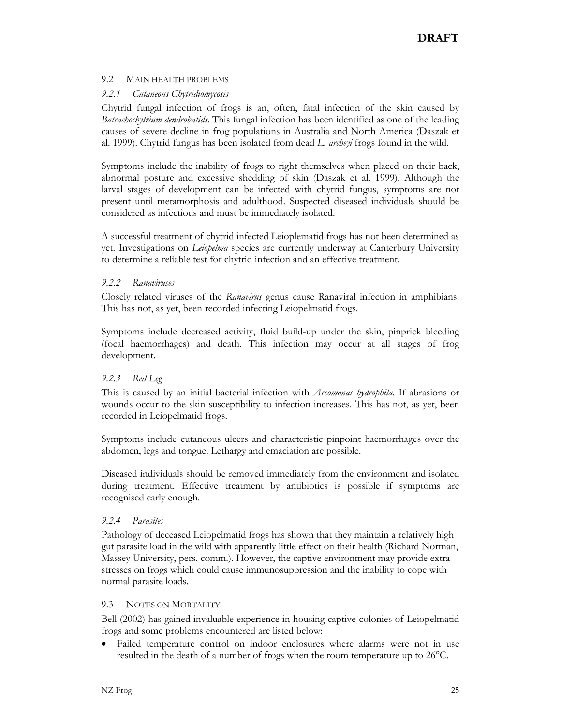#### 9.2 MAIN HEALTH PROBLEMS

#### *9.2.1 Cutaneous Chytridiomycosis*

Chytrid fungal infection of frogs is an, often, fatal infection of the skin caused by *Batrachochytrium dendrobatids*. This fungal infection has been identified as one of the leading causes of severe decline in frog populations in Australia and North America (Daszak et al. 1999). Chytrid fungus has been isolated from dead *L. archeyi* frogs found in the wild.

Symptoms include the inability of frogs to right themselves when placed on their back, abnormal posture and excessive shedding of skin (Daszak et al. 1999). Although the larval stages of development can be infected with chytrid fungus, symptoms are not present until metamorphosis and adulthood. Suspected diseased individuals should be considered as infectious and must be immediately isolated.

A successful treatment of chytrid infected Leioplematid frogs has not been determined as yet. Investigations on *Leiopelma* species are currently underway at Canterbury University to determine a reliable test for chytrid infection and an effective treatment.

#### *9.2.2 Ranaviruses*

Closely related viruses of the *Ranavirus* genus cause Ranaviral infection in amphibians. This has not, as yet, been recorded infecting Leiopelmatid frogs.

Symptoms include decreased activity, fluid build-up under the skin, pinprick bleeding (focal haemorrhages) and death. This infection may occur at all stages of frog development.

#### *9.2.3 Red Leg*

This is caused by an initial bacterial infection with *Areomonas hydrophila*. If abrasions or wounds occur to the skin susceptibility to infection increases. This has not, as yet, been recorded in Leiopelmatid frogs.

Symptoms include cutaneous ulcers and characteristic pinpoint haemorrhages over the abdomen, legs and tongue. Lethargy and emaciation are possible.

Diseased individuals should be removed immediately from the environment and isolated during treatment. Effective treatment by antibiotics is possible if symptoms are recognised early enough.

#### *9.2.4 Parasites*

Pathology of deceased Leiopelmatid frogs has shown that they maintain a relatively high gut parasite load in the wild with apparently little effect on their health (Richard Norman, Massey University, pers. comm.). However, the captive environment may provide extra stresses on frogs which could cause immunosuppression and the inability to cope with normal parasite loads.

#### 9.3 NOTES ON MORTALITY

Bell (2002) has gained invaluable experience in housing captive colonies of Leiopelmatid frogs and some problems encountered are listed below:

• Failed temperature control on indoor enclosures where alarms were not in use resulted in the death of a number of frogs when the room temperature up to 26°C.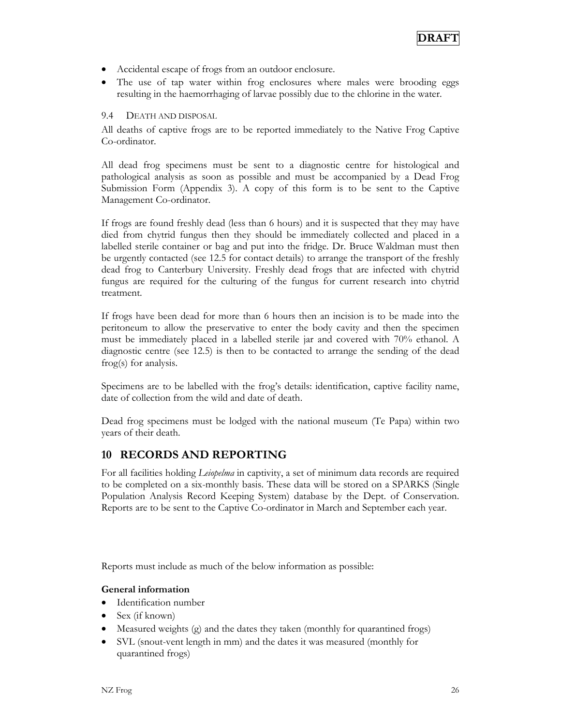- Accidental escape of frogs from an outdoor enclosure.
- The use of tap water within frog enclosures where males were brooding eggs resulting in the haemorrhaging of larvae possibly due to the chlorine in the water.

#### 9.4 DEATH AND DISPOSAL

All deaths of captive frogs are to be reported immediately to the Native Frog Captive Co-ordinator.

All dead frog specimens must be sent to a diagnostic centre for histological and pathological analysis as soon as possible and must be accompanied by a Dead Frog Submission Form (Appendix 3). A copy of this form is to be sent to the Captive Management Co-ordinator.

If frogs are found freshly dead (less than 6 hours) and it is suspected that they may have died from chytrid fungus then they should be immediately collected and placed in a labelled sterile container or bag and put into the fridge. Dr. Bruce Waldman must then be urgently contacted (see 12.5 for contact details) to arrange the transport of the freshly dead frog to Canterbury University. Freshly dead frogs that are infected with chytrid fungus are required for the culturing of the fungus for current research into chytrid treatment.

If frogs have been dead for more than 6 hours then an incision is to be made into the peritoneum to allow the preservative to enter the body cavity and then the specimen must be immediately placed in a labelled sterile jar and covered with 70% ethanol. A diagnostic centre (see 12.5) is then to be contacted to arrange the sending of the dead frog(s) for analysis.

Specimens are to be labelled with the frog's details: identification, captive facility name, date of collection from the wild and date of death.

Dead frog specimens must be lodged with the national museum (Te Papa) within two years of their death.

#### **10 RECORDS AND REPORTING**

For all facilities holding *Leiopelma* in captivity, a set of minimum data records are required to be completed on a six-monthly basis. These data will be stored on a SPARKS (Single Population Analysis Record Keeping System) database by the Dept. of Conservation. Reports are to be sent to the Captive Co-ordinator in March and September each year.

Reports must include as much of the below information as possible:

#### **General information**

- Identification number
- Sex (if known)
- Measured weights (g) and the dates they taken (monthly for quarantined frogs)
- SVL (snout-vent length in mm) and the dates it was measured (monthly for quarantined frogs)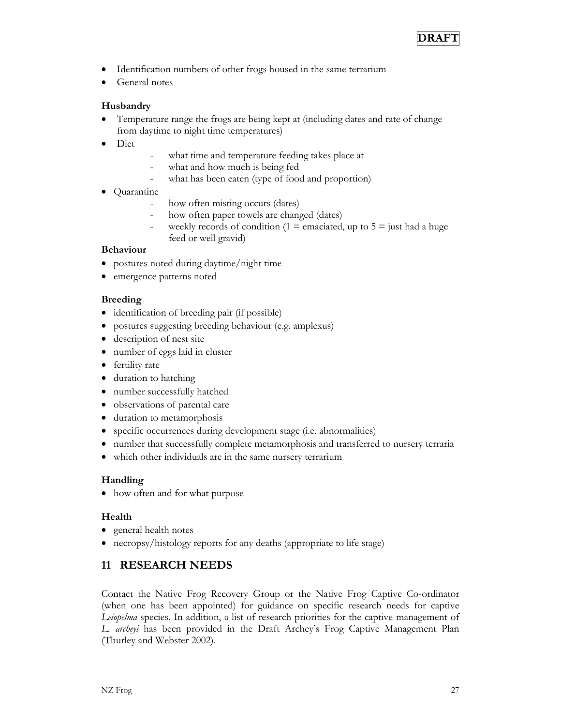

- Identification numbers of other frogs housed in the same terrarium
- General notes

#### **Husbandry**

- Temperature range the frogs are being kept at (including dates and rate of change from daytime to night time temperatures)
- Diet
- what time and temperature feeding takes place at
- what and how much is being fed
- what has been eaten (type of food and proportion)
- Quarantine
	- how often misting occurs (dates)
	- how often paper towels are changed (dates)
	- weekly records of condition (1 = emaciated, up to  $5 =$  just had a huge feed or well gravid)

#### **Behaviour**

- postures noted during daytime/night time
- emergence patterns noted

#### **Breeding**

- identification of breeding pair (if possible)
- postures suggesting breeding behaviour (e.g. amplexus)
- description of nest site
- number of eggs laid in cluster
- fertility rate
- duration to hatching
- number successfully hatched
- observations of parental care
- duration to metamorphosis
- specific occurrences during development stage (i.e. abnormalities)
- number that successfully complete metamorphosis and transferred to nursery terraria
- which other individuals are in the same nursery terrarium

#### **Handling**

• how often and for what purpose

#### **Health**

- general health notes
- necropsy/histology reports for any deaths (appropriate to life stage)

### **11 RESEARCH NEEDS**

Contact the Native Frog Recovery Group or the Native Frog Captive Co-ordinator (when one has been appointed) for guidance on specific research needs for captive *Leiopelma* species. In addition, a list of research priorities for the captive management of *L. archeyi* has been provided in the Draft Archey's Frog Captive Management Plan (Thurley and Webster 2002).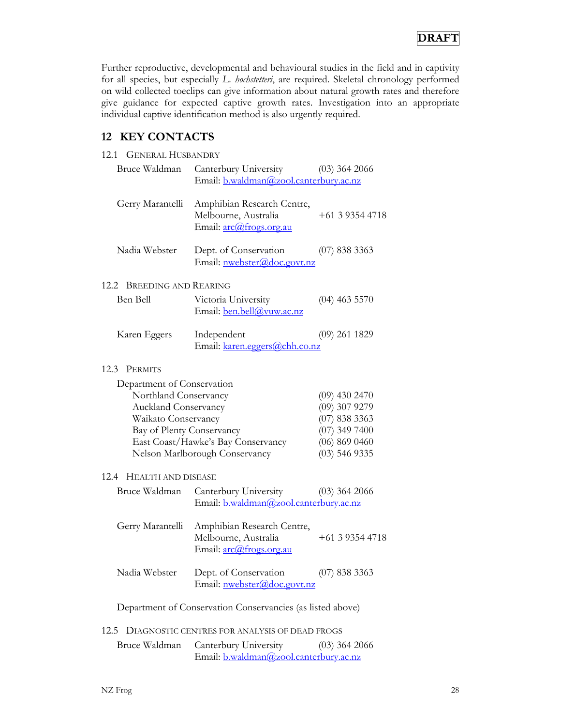Further reproductive, developmental and behavioural studies in the field and in captivity for all species, but especially *L. hochstetteri*, are required. Skeletal chronology performed on wild collected toeclips can give information about natural growth rates and therefore give guidance for expected captive growth rates. Investigation into an appropriate individual captive identification method is also urgently required.

## **12 KEY CONTACTS**

| <b>GENERAL HUSBANDRY</b><br>12.1                                                                                                       |                                                                               |                                                                                                            |
|----------------------------------------------------------------------------------------------------------------------------------------|-------------------------------------------------------------------------------|------------------------------------------------------------------------------------------------------------|
| Bruce Waldman                                                                                                                          | Canterbury University<br>Email: b.waldman@zool.canterbury.ac.nz               | $(03)$ 364 2066                                                                                            |
| Gerry Marantelli                                                                                                                       | Amphibian Research Centre,<br>Melbourne, Australia<br>Email: arc@frogs.org.au | $+61393544718$                                                                                             |
| Nadia Webster                                                                                                                          | Dept. of Conservation<br>Email: nwebster@doc.govt.nz                          | $(07)$ 838 3363                                                                                            |
| <b>BREEDING AND REARING</b><br>12.2                                                                                                    |                                                                               |                                                                                                            |
| Ben Bell                                                                                                                               | Victoria University<br>Email: ben.bell@vuw.ac.nz                              | $(04)$ 463 5570                                                                                            |
| Karen Eggers                                                                                                                           | Independent<br>Email: karen.eggers@chh.co.nz                                  | $(09)$ 261 1829                                                                                            |
| 12.3<br><b>PERMITS</b>                                                                                                                 |                                                                               |                                                                                                            |
| Department of Conservation<br>Northland Conservancy<br><b>Auckland Conservancy</b><br>Waikato Conservancy<br>Bay of Plenty Conservancy | East Coast/Hawke's Bay Conservancy<br>Nelson Marlborough Conservancy          | $(09)$ 430 2470<br>(09) 307 9279<br>$(07)$ 838 3363<br>$(07)$ 349 7400<br>(06) 869 0460<br>$(03)$ 546 9335 |
| 12.4 HEALTH AND DISEASE                                                                                                                |                                                                               |                                                                                                            |
| Bruce Waldman                                                                                                                          | Canterbury University<br>Email: b.waldman@zool.canterbury.ac.nz               | $(03)$ 364 2066                                                                                            |
| Gerry Marantelli                                                                                                                       | Amphibian Research Centre,<br>Melbourne, Australia<br>Email: arc@frogs.org.au | $+61393544718$                                                                                             |
| Nadia Webster                                                                                                                          | Dept. of Conservation<br>Email: nwebster@doc.govt.nz                          | $(07)$ 838 3363                                                                                            |
|                                                                                                                                        | Department of Conservation Conservancies (as listed above)                    |                                                                                                            |
| 12.5                                                                                                                                   | DIAGNOSTIC CENTRES FOR ANALYSIS OF DEAD FROGS                                 |                                                                                                            |
| Bruce Waldman                                                                                                                          | Canterbury University                                                         | $(03)$ 364 2066                                                                                            |

Email: b.waldman@zool.canterbury.ac.nz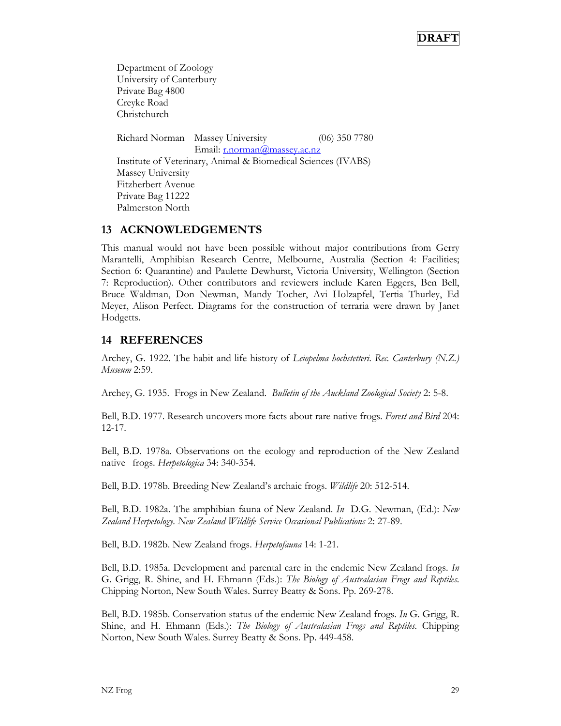Department of Zoology University of Canterbury Private Bag 4800 Creyke Road Christchurch Richard Norman Massey University (06) 350 7780 Email: r.norman@massey.ac.nz Institute of Veterinary, Animal & Biomedical Sciences (IVABS) Massey University Fitzherbert Avenue Private Bag 11222 Palmerston North

#### **13 ACKNOWLEDGEMENTS**

This manual would not have been possible without major contributions from Gerry Marantelli, Amphibian Research Centre, Melbourne, Australia (Section 4: Facilities; Section 6: Quarantine) and Paulette Dewhurst, Victoria University, Wellington (Section 7: Reproduction). Other contributors and reviewers include Karen Eggers, Ben Bell, Bruce Waldman, Don Newman, Mandy Tocher, Avi Holzapfel, Tertia Thurley, Ed Meyer, Alison Perfect. Diagrams for the construction of terraria were drawn by Janet Hodgetts.

### **14 REFERENCES**

Archey, G. 1922. The habit and life history of *Leiopelma hochstetteri*. *Rec. Canterbury (N.Z.) Museum* 2:59.

Archey, G. 1935. Frogs in New Zealand. *Bulletin of the Auckland Zoological Society* 2: 5-8.

Bell, B.D. 1977. Research uncovers more facts about rare native frogs. *Forest and Bird* 204: 12-17.

Bell, B.D. 1978a. Observations on the ecology and reproduction of the New Zealand native frogs. *Herpetologica* 34: 340-354.

Bell, B.D. 1978b. Breeding New Zealand's archaic frogs. *Wildlife* 20: 512-514.

Bell, B.D. 1982a. The amphibian fauna of New Zealand. *In* D.G. Newman, (Ed.): *New Zealand Herpetology*. *New Zealand Wildlife Service Occasional Publications* 2: 27-89.

Bell, B.D. 1982b. New Zealand frogs. *Herpetofauna* 14: 1-21.

Bell, B.D. 1985a. Development and parental care in the endemic New Zealand frogs. *In* G. Grigg, R. Shine, and H. Ehmann (Eds.): *The Biology of Australasian Frogs and Reptiles*. Chipping Norton, New South Wales. Surrey Beatty & Sons. Pp. 269-278.

Bell, B.D. 1985b. Conservation status of the endemic New Zealand frogs. *In* G. Grigg, R. Shine, and H. Ehmann (Eds.): *The Biology of Australasian Frogs and Reptiles.* Chipping Norton, New South Wales. Surrey Beatty & Sons. Pp. 449-458.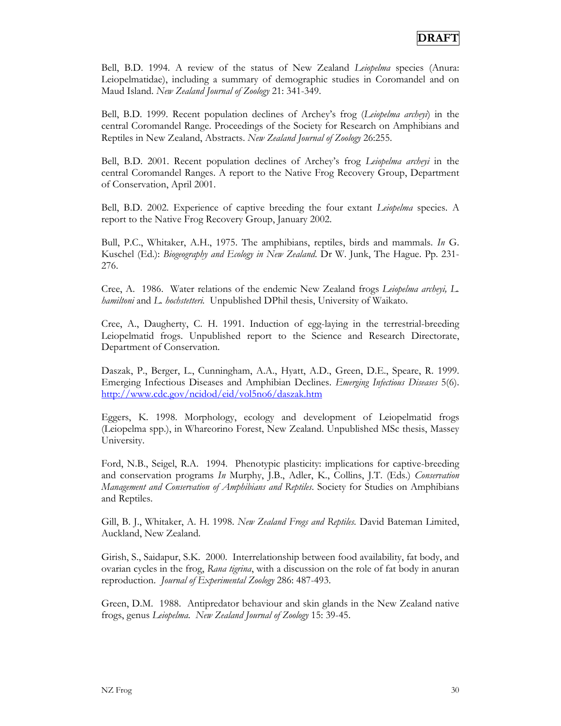Bell, B.D. 1994. A review of the status of New Zealand *Leiopelma* species (Anura: Leiopelmatidae), including a summary of demographic studies in Coromandel and on Maud Island. *New Zealand Journal of Zoology* 21: 341-349.

Bell, B.D. 1999. Recent population declines of Archey's frog (*Leiopelma archeyi*) in the central Coromandel Range. Proceedings of the Society for Research on Amphibians and Reptiles in New Zealand, Abstracts. *New Zealand Journal of Zoology* 26:255.

Bell, B.D. 2001. Recent population declines of Archey's frog *Leiopelma archeyi* in the central Coromandel Ranges. A report to the Native Frog Recovery Group, Department of Conservation, April 2001.

Bell, B.D. 2002. Experience of captive breeding the four extant *Leiopelma* species. A report to the Native Frog Recovery Group, January 2002.

Bull, P.C., Whitaker, A.H., 1975. The amphibians, reptiles, birds and mammals. *In* G. Kuschel (Ed.): *Biogeography and Ecology in New Zealand*. Dr W. Junk, The Hague. Pp. 231- 276.

Cree, A. 1986. Water relations of the endemic New Zealand frogs *Leiopelma archeyi, L. hamiltoni* and *L. hochstetteri.* Unpublished DPhil thesis, University of Waikato.

Cree, A., Daugherty, C. H. 1991. Induction of egg-laying in the terrestrial-breeding Leiopelmatid frogs. Unpublished report to the Science and Research Directorate, Department of Conservation.

Daszak, P., Berger, L., Cunningham, A.A., Hyatt, A.D., Green, D.E., Speare, R. 1999. Emerging Infectious Diseases and Amphibian Declines. *Emerging Infectious Diseases* 5(6). http://www.cdc.gov/ncidod/eid/vol5no6/daszak.htm

Eggers, K. 1998. Morphology, ecology and development of Leiopelmatid frogs (Leiopelma spp.), in Whareorino Forest, New Zealand. Unpublished MSc thesis, Massey University.

Ford, N.B., Seigel, R.A. 1994. Phenotypic plasticity: implications for captive-breeding and conservation programs *In* Murphy, J.B., Adler, K., Collins, J.T. (Eds.) *Conservation Management and Conservation of Amphibians and Reptiles*. Society for Studies on Amphibians and Reptiles.

Gill, B. J., Whitaker, A. H. 1998. *New Zealand Frogs and Reptiles.* David Bateman Limited, Auckland, New Zealand.

Girish, S., Saidapur, S.K. 2000. Interrelationship between food availability, fat body, and ovarian cycles in the frog, *Rana tigrina*, with a discussion on the role of fat body in anuran reproduction. *Journal of Experimental Zoology* 286: 487-493.

Green, D.M. 1988. Antipredator behaviour and skin glands in the New Zealand native frogs, genus *Leiopelma*. *New Zealand Journal of Zoology* 15: 39-45.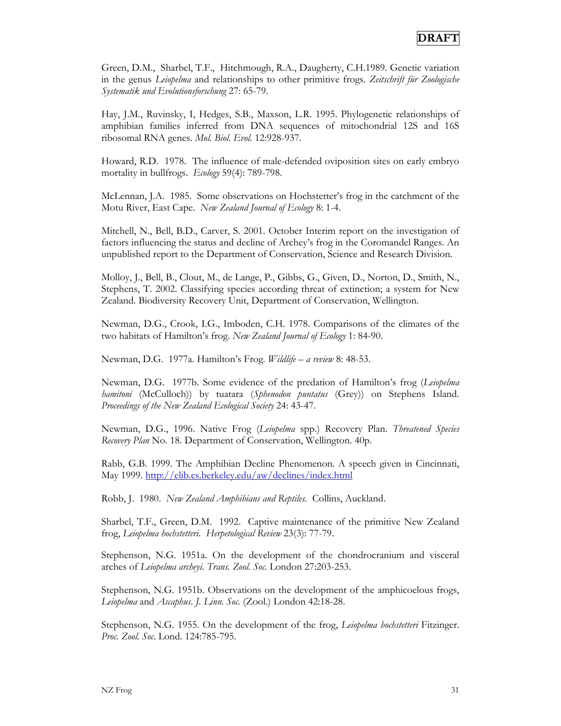Green, D.M., Sharbel, T.F., Hitchmough, R.A., Daugherty, C.H.1989. Genetic variation in the genus *Leiopelma* and relationships to other primitive frogs. *Zeitschrift für Zoologische Systematik und Evolutionsforschung* 27: 65-79.

Hay, J.M., Ruvinsky, I, Hedges, S.B., Maxson, L.R. 1995. Phylogenetic relationships of amphibian families inferred from DNA sequences of mitochondrial 12S and 16S ribosomal RNA genes. *Mol. Biol. Evol.* 12:928-937.

Howard, R.D. 1978. The influence of male-defended oviposition sites on early embryo mortality in bullfrogs. *Ecology* 59(4): 789-798.

McLennan, J.A. 1985. Some observations on Hochstetter's frog in the catchment of the Motu River, East Cape. *New Zealand Journal of Ecology* 8: 1-4.

Mitchell, N., Bell, B.D., Carver, S. 2001. October Interim report on the investigation of factors influencing the status and decline of Archey's frog in the Coromandel Ranges. An unpublished report to the Department of Conservation, Science and Research Division.

Molloy, J., Bell, B., Clout, M., de Lange, P., Gibbs, G., Given, D., Norton, D., Smith, N., Stephens, T. 2002. Classifying species according threat of extinction; a system for New Zealand. Biodiversity Recovery Unit, Department of Conservation, Wellington.

Newman, D.G., Crook, I.G., Imboden, C.H. 1978. Comparisons of the climates of the two habitats of Hamilton's frog. *New Zealand Journal of Ecology* 1: 84-90.

Newman, D.G. 1977a. Hamilton's Frog. *Wildlife – a review* 8: 48-53.

Newman, D.G. 1977b. Some evidence of the predation of Hamilton's frog (*Leiopelma hamitoni* (McCulloch)) by tuatara (*Sphenodon puntatus* (Grey)) on Stephens Island. *Proceedings of the New Zealand Ecological Society* 24: 43-47.

Newman, D.G., 1996. Native Frog (*Leiopelma* spp.) Recovery Plan. *Threatened Species Recovery Plan* No. 18. Department of Conservation, Wellington. 40p.

Rabb, G.B. 1999. The Amphibian Decline Phenomenon. A speech given in Cincinnati, May 1999. http://elib.cs.berkeley.edu/aw/declines/index.html

Robb, J. 1980. *New Zealand Amphibians and Reptiles.* Collins, Auckland.

Sharbel, T.F., Green, D.M. 1992. Captive maintenance of the primitive New Zealand frog, *Leiopelma hochstetteri*. *Herpetological Review* 23(3): 77-79.

Stephenson, N.G. 1951a. On the development of the chondrocranium and visceral arches of *Leiopelma archeyi*. *Trans. Zool. Soc.* London 27:203-253.

Stephenson, N.G. 1951b. Observations on the development of the amphicoelous frogs, *Leiopelma* and *Ascaphus*. *J. Linn. Soc.* (Zool.) London 42:18-28.

Stephenson, N.G. 1955. On the development of the frog, *Leiopelma hochstetteri* Fitzinger. *Proc. Zool. Soc*. Lond. 124:785-795.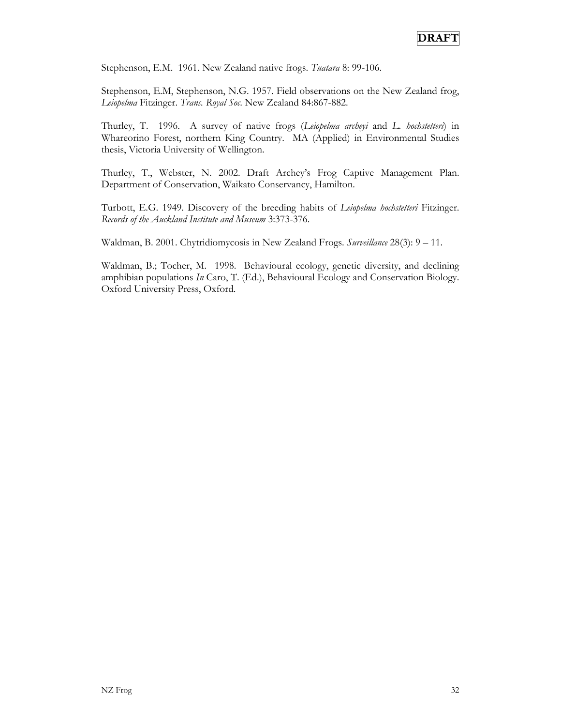Stephenson, E.M. 1961. New Zealand native frogs. *Tuatara* 8: 99-106.

Stephenson, E.M, Stephenson, N.G. 1957. Field observations on the New Zealand frog, *Leiopelma* Fitzinger. *Trans. Royal Soc*. New Zealand 84:867-882.

Thurley, T. 1996. A survey of native frogs (*Leiopelma archeyi* and *L. hochstetteri*) in Whareorino Forest, northern King Country. MA (Applied) in Environmental Studies thesis, Victoria University of Wellington.

Thurley, T., Webster, N. 2002. Draft Archey's Frog Captive Management Plan. Department of Conservation, Waikato Conservancy, Hamilton.

Turbott, E.G. 1949. Discovery of the breeding habits of *Leiopelma hochstetteri* Fitzinger. *Records of the Auckland Institute and Museum* 3:373-376.

Waldman, B. 2001. Chytridiomycosis in New Zealand Frogs. *Surveillance* 28(3): 9 – 11.

Waldman, B.; Tocher, M. 1998. Behavioural ecology, genetic diversity, and declining amphibian populations *In* Caro, T. (Ed.), Behavioural Ecology and Conservation Biology. Oxford University Press, Oxford.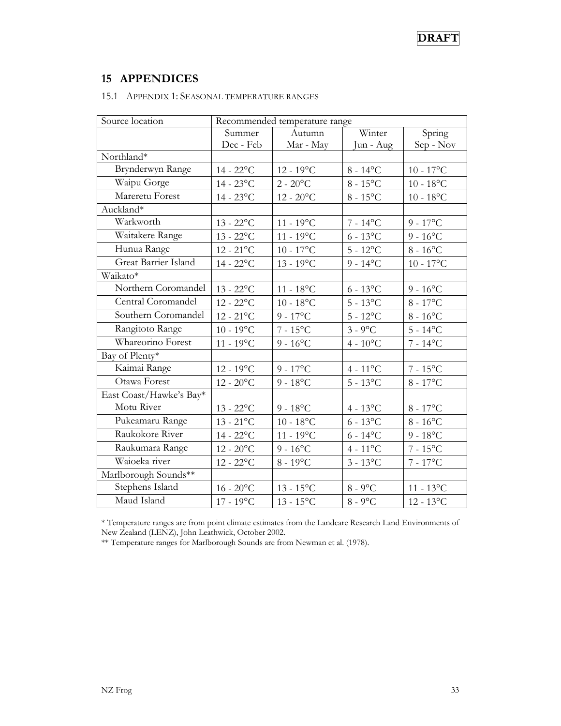## **15 APPENDICES**

| Source location         | Recommended temperature range |                    |                   |                     |
|-------------------------|-------------------------------|--------------------|-------------------|---------------------|
|                         | Summer                        | Autumn             | Winter            | Spring              |
|                         | Dec - Feb                     | Mar - May          | Jun - Aug         | Sep - Nov           |
| Northland*              |                               |                    |                   |                     |
| Brynderwyn Range        | $14 - 22$ °C                  | $12 - 19^{\circ}C$ | $8 - 14$ °C       | 10 - $17^{\circ}$ C |
| Waipu Gorge             | $14 - 23$ °C                  | $2 - 20$ °C        | $8 - 15$ °C       | $10 - 18$ °C        |
| Mareretu Forest         | $14 - 23$ °C                  | $12 - 20$ °C       | $8 - 15$ °C       | $10 - 18$ °C        |
| Auckland*               |                               |                    |                   |                     |
| Warkworth               | $13 - 22$ °C                  | $11 - 19$ °C       | $7 - 14$ °C       | $9 - 17$ °C         |
| Waitakere Range         | $13 - 22$ °C                  | $11 - 19$ °C       | $6 - 13$ °C       | $9 - 16$ °C         |
| Hunua Range             | $12 - 21$ °C                  | $10 - 17$ °C       | $5 - 12$ °C       | $8 - 16$ °C         |
| Great Barrier Island    | $14 - 22$ °C                  | $13 - 19^{\circ}C$ | $9 - 14$ °C       | $10 - 17$ °C        |
| Waikato*                |                               |                    |                   |                     |
| Northern Coromandel     | $13 - 22$ °C                  | $11 - 18$ °C       | $6 - 13$ °C       | $9 - 16$ °C         |
| Central Coromandel      | $12 - 22$ °C                  | $10 - 18$ °C       | $5 - 13^{\circ}C$ | $8 - 17$ °C         |
| Southern Coromandel     | $12 - 21$ °C                  | $9 - 17$ °C        | $5 - 12$ °C       | $8 - 16$ °C         |
| Rangitoto Range         | $10 - 19$ °C                  | $7 - 15$ °C        | $3 - 9$ °C        | $5 - 14$ °C         |
| Whareorino Forest       | $11 - 19^{\circ}C$            | $9 - 16$ °C        | $4 - 10^{\circ}C$ | $7 - 14$ °C         |
| Bay of Plenty*          |                               |                    |                   |                     |
| Kaimai Range            | $12 - 19^{\circ}C$            | $9 - 17^{\circ}C$  | $4 - 11^{\circ}C$ | $7 - 15$ °C         |
| Otawa Forest            | $12 - 20$ °C                  | $9 - 18$ °C        | $5 - 13^{\circ}C$ | $8 - 17^{\circ}C$   |
| East Coast/Hawke's Bay* |                               |                    |                   |                     |
| Motu River              | $13 - 22$ °C                  | $9 - 18$ °C        | $4 - 13^{\circ}C$ | $8 - 17^{\circ}C$   |
| Pukeamaru Range         | $13 - 21$ °C                  | $10 - 18$ °C       | $6 - 13$ °C       | $8 - 16$ °C         |
| Raukokore River         | $14 - 22$ °C                  | $11 - 19^{\circ}C$ | $6 - 14$ °C       | $9 - 18$ °C         |
| Raukumara Range         | $12 - 20$ °C                  | $9 - 16$ °C        | $4 - 11^{\circ}C$ | $7 - 15$ °C         |
| Waioeka river           | $12 - 22$ °C                  | $8 - 19$ °C        | $3 - 13^{\circ}C$ | $7 - 17$ °C         |
| Marlborough Sounds**    |                               |                    |                   |                     |
| Stephens Island         | $16$ - $20^{\circ} \text{C}$  | $13 - 15^{\circ}C$ | $8 - 9$ °C        | $11 - 13$ °C        |
| Maud Island             | $17 - 19^{\circ}C$            | $13 - 15^{\circ}C$ | $8 - 9$ °C        | $12 - 13^{\circ}C$  |

#### 15.1 APPENDIX 1: SEASONAL TEMPERATURE RANGES

\* Temperature ranges are from point climate estimates from the Landcare Research Land Environments of New Zealand (LENZ), John Leathwick, October 2002.

\*\* Temperature ranges for Marlborough Sounds are from Newman et al. (1978).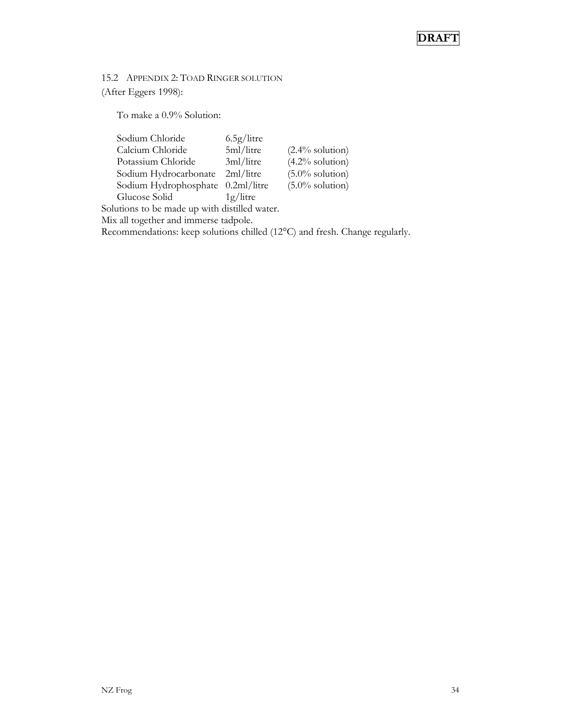15.2 APPENDIX 2: TOAD RINGER SOLUTION (After Eggers 1998):

To make a 0.9% Solution:

| Sodium Chloride                               | 6.5g/litre  |                    |  |
|-----------------------------------------------|-------------|--------------------|--|
| Calcium Chloride                              | 5ml/litre   | $(2.4\%$ solution) |  |
| Potassium Chloride                            | 3ml/litre   | $(4.2\%$ solution) |  |
| Sodium Hydrocarbonate                         | 2ml/litre   | $(5.0\%$ solution) |  |
| Sodium Hydrophosphate 0.2ml/litre             |             | $(5.0\%$ solution) |  |
| Glucose Solid                                 | $1g/l$ itre |                    |  |
| Solutions to be made up with distilled water. |             |                    |  |
| Mix all together and immerse tadpole.         |             |                    |  |

Recommendations: keep solutions chilled (12°C) and fresh. Change regularly.